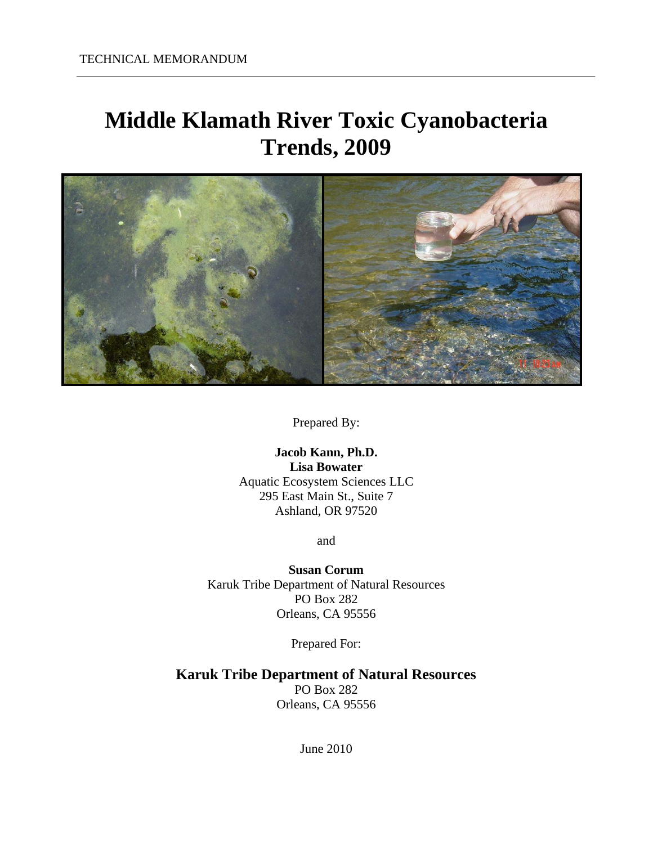# **Middle Klamath River Toxic Cyanobacteria Trends, 2009**



Prepared By:

**Jacob Kann, Ph.D. Lisa Bowater**  Aquatic Ecosystem Sciences LLC 295 East Main St., Suite 7 Ashland, OR 97520

and

**Susan Corum**  Karuk Tribe Department of Natural Resources PO Box 282 Orleans, CA 95556

Prepared For:

**Karuk Tribe Department of Natural Resources**  PO Box 282 Orleans, CA 95556

June 2010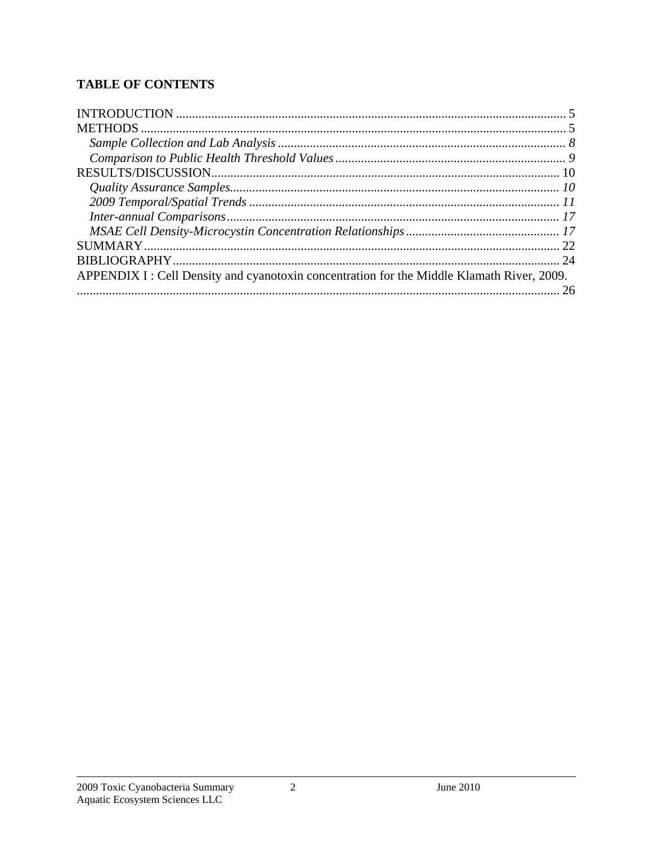# **TABLE OF CONTENTS**

| APPENDIX I : Cell Density and cyanotoxin concentration for the Middle Klamath River, 2009. |  |
|--------------------------------------------------------------------------------------------|--|
|                                                                                            |  |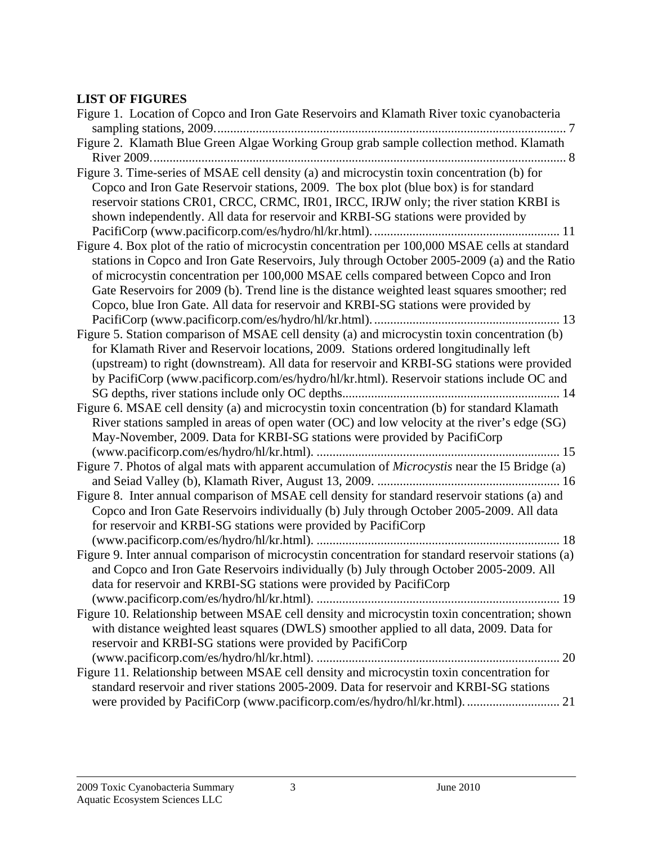#### **LIST OF FIGURES**

| Figure 1. Location of Copco and Iron Gate Reservoirs and Klamath River toxic cyanobacteria                                                                                                                                                                                                                                                                                                                                                                                     |
|--------------------------------------------------------------------------------------------------------------------------------------------------------------------------------------------------------------------------------------------------------------------------------------------------------------------------------------------------------------------------------------------------------------------------------------------------------------------------------|
| Figure 2. Klamath Blue Green Algae Working Group grab sample collection method. Klamath                                                                                                                                                                                                                                                                                                                                                                                        |
| Figure 3. Time-series of MSAE cell density (a) and microcystin toxin concentration (b) for<br>Copco and Iron Gate Reservoir stations, 2009. The box plot (blue box) is for standard<br>reservoir stations CR01, CRCC, CRMC, IR01, IRCC, IRJW only; the river station KRBI is<br>shown independently. All data for reservoir and KRBI-SG stations were provided by                                                                                                              |
| Figure 4. Box plot of the ratio of microcystin concentration per 100,000 MSAE cells at standard<br>stations in Copco and Iron Gate Reservoirs, July through October 2005-2009 (a) and the Ratio<br>of microcystin concentration per 100,000 MSAE cells compared between Copco and Iron<br>Gate Reservoirs for 2009 (b). Trend line is the distance weighted least squares smoother; red<br>Copco, blue Iron Gate. All data for reservoir and KRBI-SG stations were provided by |
| Figure 5. Station comparison of MSAE cell density (a) and microcystin toxin concentration (b)<br>for Klamath River and Reservoir locations, 2009. Stations ordered longitudinally left<br>(upstream) to right (downstream). All data for reservoir and KRBI-SG stations were provided<br>by PacifiCorp (www.pacificorp.com/es/hydro/hl/kr.html). Reservoir stations include OC and                                                                                             |
| Figure 6. MSAE cell density (a) and microcystin toxin concentration (b) for standard Klamath<br>River stations sampled in areas of open water (OC) and low velocity at the river's edge (SG)<br>May-November, 2009. Data for KRBI-SG stations were provided by PacifiCorp                                                                                                                                                                                                      |
| Figure 7. Photos of algal mats with apparent accumulation of Microcystis near the I5 Bridge (a)                                                                                                                                                                                                                                                                                                                                                                                |
| Figure 8. Inter annual comparison of MSAE cell density for standard reservoir stations (a) and<br>Copco and Iron Gate Reservoirs individually (b) July through October 2005-2009. All data<br>for reservoir and KRBI-SG stations were provided by PacifiCorp                                                                                                                                                                                                                   |
| Figure 9. Inter annual comparison of microcystin concentration for standard reservoir stations (a)<br>and Copco and Iron Gate Reservoirs individually (b) July through October 2005-2009. All<br>data for reservoir and KRBI-SG stations were provided by PacifiCorp                                                                                                                                                                                                           |
| Figure 10. Relationship between MSAE cell density and microcystin toxin concentration; shown<br>with distance weighted least squares (DWLS) smoother applied to all data, 2009. Data for<br>reservoir and KRBI-SG stations were provided by PacifiCorp                                                                                                                                                                                                                         |
| Figure 11. Relationship between MSAE cell density and microcystin toxin concentration for<br>standard reservoir and river stations 2005-2009. Data for reservoir and KRBI-SG stations<br>were provided by PacifiCorp (www.pacificorp.com/es/hydro/hl/kr.html).  21                                                                                                                                                                                                             |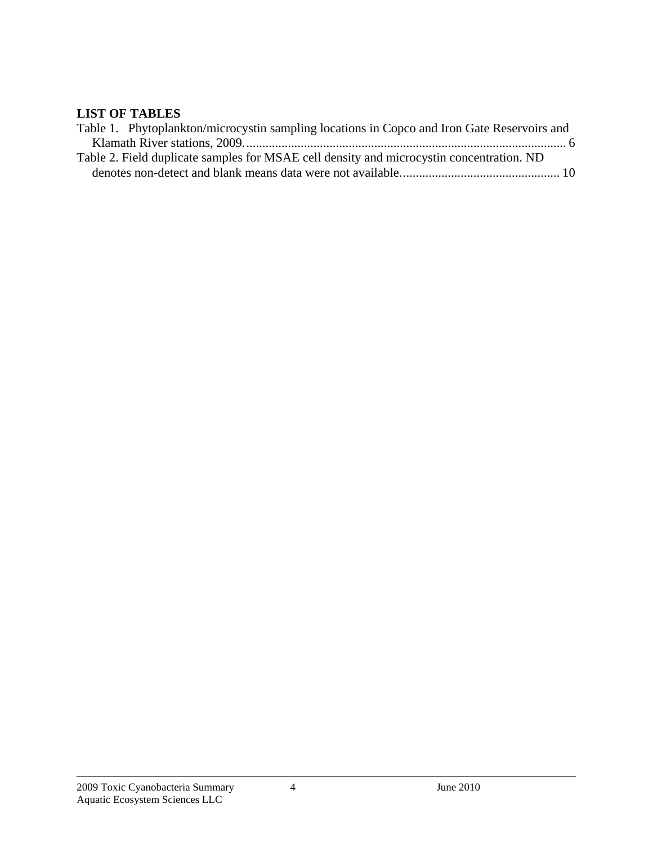#### **LIST OF TABLES**

| Table 1. Phytoplankton/microcystin sampling locations in Copco and Iron Gate Reservoirs and |  |
|---------------------------------------------------------------------------------------------|--|
|                                                                                             |  |
| Table 2. Field duplicate samples for MSAE cell density and microcystin concentration. ND    |  |
|                                                                                             |  |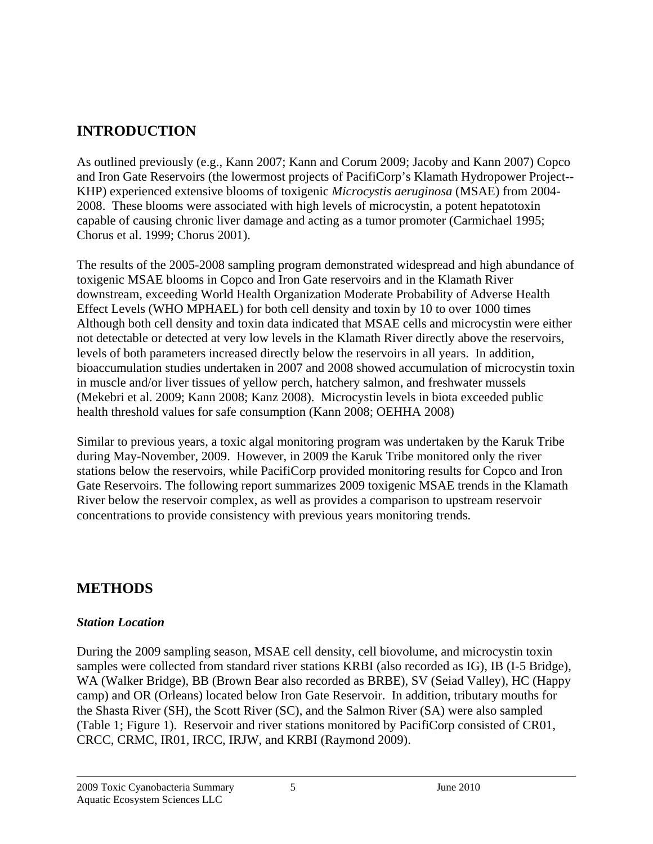# **INTRODUCTION**

As outlined previously (e.g., Kann 2007; Kann and Corum 2009; Jacoby and Kann 2007) Copco and Iron Gate Reservoirs (the lowermost projects of PacifiCorp's Klamath Hydropower Project-- KHP) experienced extensive blooms of toxigenic *Microcystis aeruginosa* (MSAE) from 2004- 2008. These blooms were associated with high levels of microcystin, a potent hepatotoxin capable of causing chronic liver damage and acting as a tumor promoter (Carmichael 1995; Chorus et al. 1999; Chorus 2001).

The results of the 2005-2008 sampling program demonstrated widespread and high abundance of toxigenic MSAE blooms in Copco and Iron Gate reservoirs and in the Klamath River downstream, exceeding World Health Organization Moderate Probability of Adverse Health Effect Levels (WHO MPHAEL) for both cell density and toxin by 10 to over 1000 times Although both cell density and toxin data indicated that MSAE cells and microcystin were either not detectable or detected at very low levels in the Klamath River directly above the reservoirs, levels of both parameters increased directly below the reservoirs in all years. In addition, bioaccumulation studies undertaken in 2007 and 2008 showed accumulation of microcystin toxin in muscle and/or liver tissues of yellow perch, hatchery salmon, and freshwater mussels (Mekebri et al. 2009; Kann 2008; Kanz 2008). Microcystin levels in biota exceeded public health threshold values for safe consumption (Kann 2008; OEHHA 2008)

Similar to previous years, a toxic algal monitoring program was undertaken by the Karuk Tribe during May-November, 2009. However, in 2009 the Karuk Tribe monitored only the river stations below the reservoirs, while PacifiCorp provided monitoring results for Copco and Iron Gate Reservoirs. The following report summarizes 2009 toxigenic MSAE trends in the Klamath River below the reservoir complex, as well as provides a comparison to upstream reservoir concentrations to provide consistency with previous years monitoring trends.

## **METHODS**

#### *Station Location*

During the 2009 sampling season, MSAE cell density, cell biovolume, and microcystin toxin samples were collected from standard river stations KRBI (also recorded as IG), IB (I-5 Bridge), WA (Walker Bridge), BB (Brown Bear also recorded as BRBE), SV (Seiad Valley), HC (Happy camp) and OR (Orleans) located below Iron Gate Reservoir. In addition, tributary mouths for the Shasta River (SH), the Scott River (SC), and the Salmon River (SA) were also sampled (Table 1; Figure 1). Reservoir and river stations monitored by PacifiCorp consisted of CR01, CRCC, CRMC, IR01, IRCC, IRJW, and KRBI (Raymond 2009).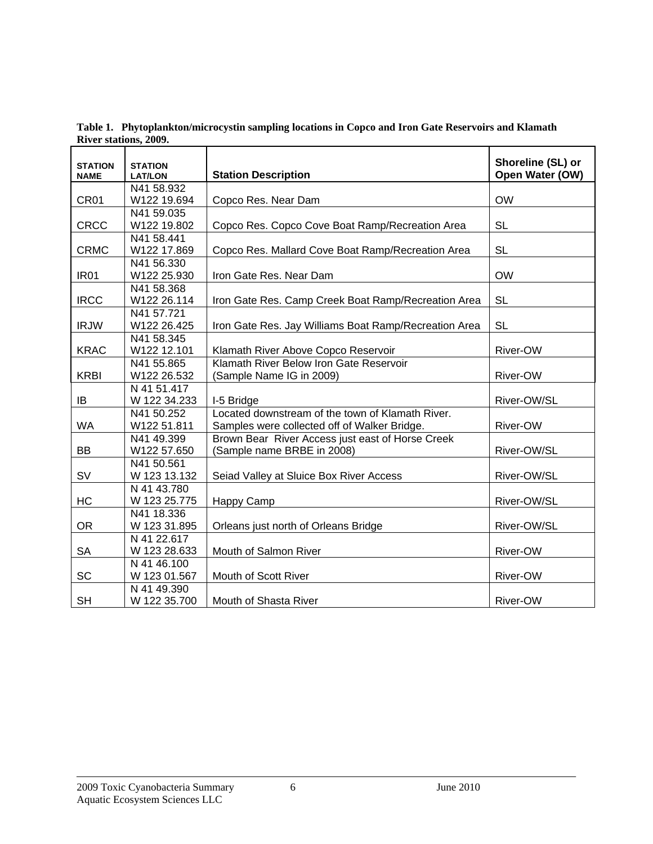**Table 1. Phytoplankton/microcystin sampling locations in Copco and Iron Gate Reservoirs and Klamath River stations, 2009.** 

| <b>STATION</b><br><b>NAME</b> | <b>STATION</b><br><b>LAT/LON</b> | <b>Station Description</b>                            | Shoreline (SL) or<br>Open Water (OW) |
|-------------------------------|----------------------------------|-------------------------------------------------------|--------------------------------------|
|                               | N41 58.932                       |                                                       |                                      |
| CR <sub>01</sub>              | W122 19.694                      | Copco Res. Near Dam                                   | <b>OW</b>                            |
|                               | N41 59.035                       |                                                       |                                      |
| <b>CRCC</b>                   | W122 19.802                      | Copco Res. Copco Cove Boat Ramp/Recreation Area       | <b>SL</b>                            |
|                               | N41 58.441                       |                                                       |                                      |
| <b>CRMC</b>                   | W122 17.869                      | Copco Res. Mallard Cove Boat Ramp/Recreation Area     | <b>SL</b>                            |
|                               | N41 56.330                       |                                                       |                                      |
| <b>IR01</b>                   | W122 25.930                      | Iron Gate Res. Near Dam                               | <b>OW</b>                            |
|                               | N41 58.368                       |                                                       |                                      |
| <b>IRCC</b>                   | W122 26.114                      | Iron Gate Res. Camp Creek Boat Ramp/Recreation Area   | <b>SL</b>                            |
|                               | N41 57.721                       |                                                       |                                      |
| <b>IRJW</b>                   | W122 26.425                      | Iron Gate Res. Jay Williams Boat Ramp/Recreation Area | <b>SL</b>                            |
|                               | N41 58.345                       |                                                       |                                      |
| <b>KRAC</b>                   | W122 12.101                      | Klamath River Above Copco Reservoir                   | River-OW                             |
|                               | N41 55.865                       | Klamath River Below Iron Gate Reservoir               |                                      |
| <b>KRBI</b>                   | W122 26.532                      | (Sample Name IG in 2009)                              | River-OW                             |
|                               | N 41 51.417                      |                                                       |                                      |
| IB                            | W 122 34.233                     | I-5 Bridge                                            | River-OW/SL                          |
|                               | N41 50.252                       | Located downstream of the town of Klamath River.      |                                      |
| <b>WA</b>                     | W122 51.811                      | Samples were collected off of Walker Bridge.          | River-OW                             |
|                               | N41 49.399                       | Brown Bear River Access just east of Horse Creek      |                                      |
| BB                            | W122 57.650                      | (Sample name BRBE in 2008)                            | River-OW/SL                          |
|                               | N41 50.561                       |                                                       |                                      |
| <b>SV</b>                     | W 123 13.132                     | Seiad Valley at Sluice Box River Access               | River-OW/SL                          |
|                               | N 41 43.780                      |                                                       |                                      |
| HC                            | W 123 25.775                     | Happy Camp                                            | River-OW/SL                          |
|                               | N41 18.336                       |                                                       |                                      |
| <b>OR</b>                     | W 123 31.895                     | Orleans just north of Orleans Bridge                  | River-OW/SL                          |
|                               | N 41 22.617                      |                                                       |                                      |
| <b>SA</b>                     | W 123 28.633                     | Mouth of Salmon River                                 | River-OW                             |
|                               | N 41 46.100                      |                                                       |                                      |
| <b>SC</b>                     | W 123 01.567                     | <b>Mouth of Scott River</b>                           | River-OW                             |
|                               | N 41 49.390                      |                                                       |                                      |
| <b>SH</b>                     | W 122 35.700                     | Mouth of Shasta River                                 | <b>River-OW</b>                      |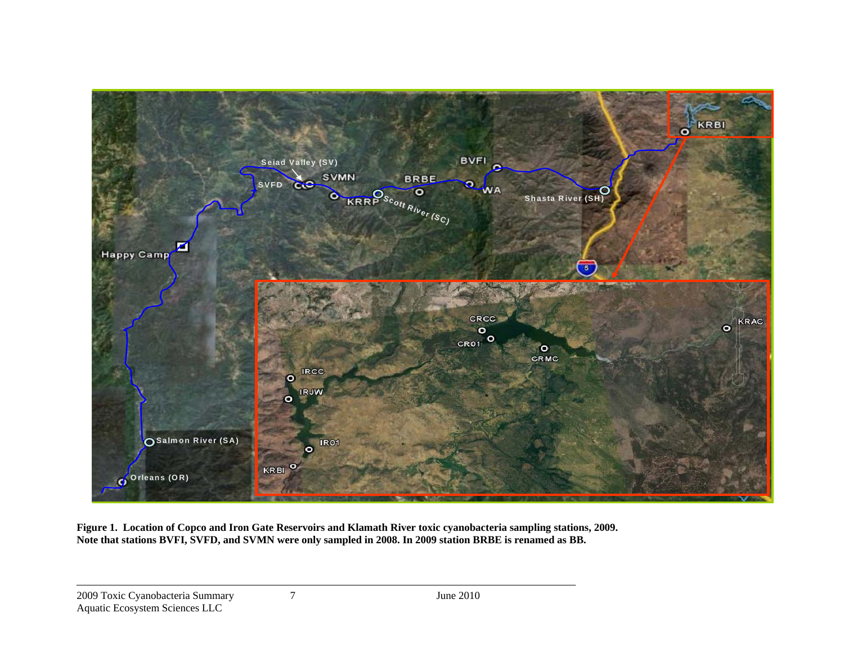

**Figure 1. Location of Copco and Iron Gate Reservoirs and Klamath River toxic cyanobacteria sampling stations, 2009. Note that stations BVFI, SVFD, and SVMN were only sampled in 2008. In 2009 station BRBE is renamed as BB.**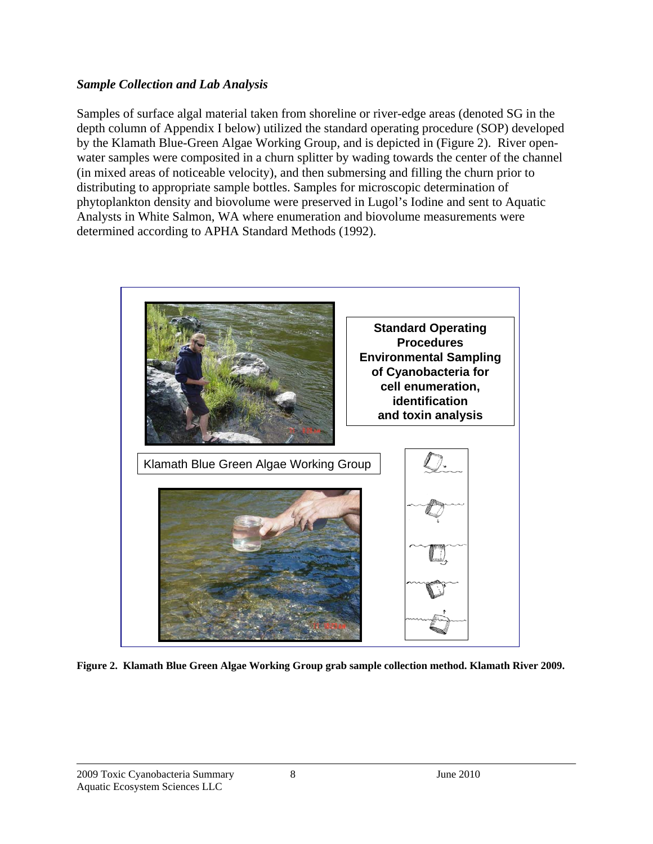#### *Sample Collection and Lab Analysis*

Samples of surface algal material taken from shoreline or river-edge areas (denoted SG in the depth column of Appendix I below) utilized the standard operating procedure (SOP) developed by the Klamath Blue-Green Algae Working Group, and is depicted in (Figure 2). River openwater samples were composited in a churn splitter by wading towards the center of the channel (in mixed areas of noticeable velocity), and then submersing and filling the churn prior to distributing to appropriate sample bottles. Samples for microscopic determination of phytoplankton density and biovolume were preserved in Lugol's Iodine and sent to Aquatic Analysts in White Salmon, WA where enumeration and biovolume measurements were determined according to APHA Standard Methods (1992).



**Figure 2. Klamath Blue Green Algae Working Group grab sample collection method. Klamath River 2009.**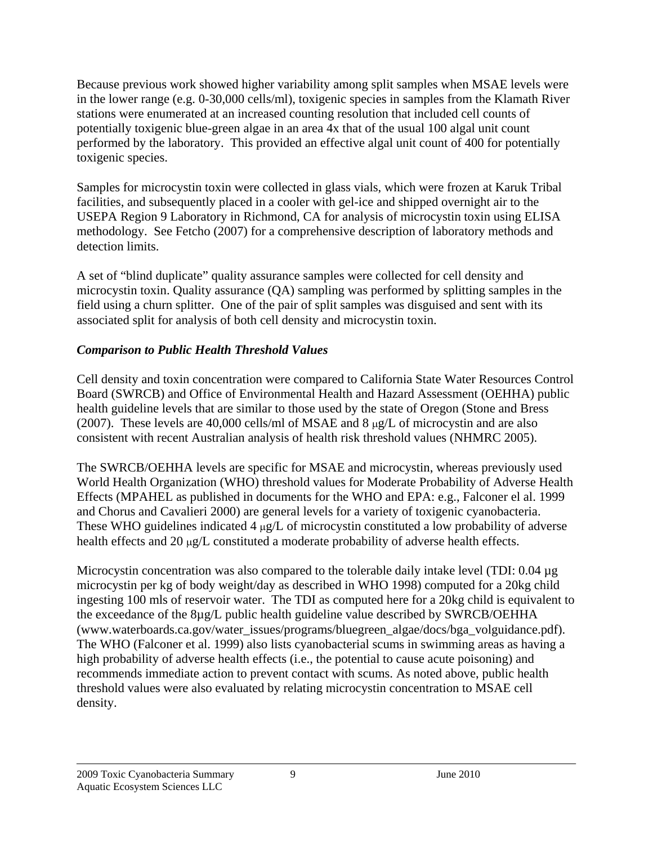Because previous work showed higher variability among split samples when MSAE levels were in the lower range (e.g. 0-30,000 cells/ml), toxigenic species in samples from the Klamath River stations were enumerated at an increased counting resolution that included cell counts of potentially toxigenic blue-green algae in an area 4x that of the usual 100 algal unit count performed by the laboratory. This provided an effective algal unit count of 400 for potentially toxigenic species.

Samples for microcystin toxin were collected in glass vials, which were frozen at Karuk Tribal facilities, and subsequently placed in a cooler with gel-ice and shipped overnight air to the USEPA Region 9 Laboratory in Richmond, CA for analysis of microcystin toxin using ELISA methodology. See Fetcho (2007) for a comprehensive description of laboratory methods and detection limits.

A set of "blind duplicate" quality assurance samples were collected for cell density and microcystin toxin. Quality assurance (QA) sampling was performed by splitting samples in the field using a churn splitter. One of the pair of split samples was disguised and sent with its associated split for analysis of both cell density and microcystin toxin.

### *Comparison to Public Health Threshold Values*

Cell density and toxin concentration were compared to California State Water Resources Control Board (SWRCB) and Office of Environmental Health and Hazard Assessment (OEHHA) public health guideline levels that are similar to those used by the state of Oregon (Stone and Bress (2007). These levels are 40,000 cells/ml of MSAE and  $8 \mu g/L$  of microcystin and are also consistent with recent Australian analysis of health risk threshold values (NHMRC 2005).

The SWRCB/OEHHA levels are specific for MSAE and microcystin, whereas previously used World Health Organization (WHO) threshold values for Moderate Probability of Adverse Health Effects (MPAHEL as published in documents for the WHO and EPA: e.g., Falconer el al. 1999 and Chorus and Cavalieri 2000) are general levels for a variety of toxigenic cyanobacteria. These WHO guidelines indicated  $4 \mu g/L$  of microcystin constituted a low probability of adverse health effects and 20  $\mu$ g/L constituted a moderate probability of adverse health effects.

Microcystin concentration was also compared to the tolerable daily intake level (TDI: 0.04 µg) microcystin per kg of body weight/day as described in WHO 1998) computed for a 20kg child ingesting 100 mls of reservoir water. The TDI as computed here for a 20kg child is equivalent to the exceedance of the 8µg/L public health guideline value described by SWRCB/OEHHA (www.waterboards.ca.gov/water\_issues/programs/bluegreen\_algae/docs/bga\_volguidance.pdf). The WHO (Falconer et al. 1999) also lists cyanobacterial scums in swimming areas as having a high probability of adverse health effects (i.e., the potential to cause acute poisoning) and recommends immediate action to prevent contact with scums. As noted above, public health threshold values were also evaluated by relating microcystin concentration to MSAE cell density.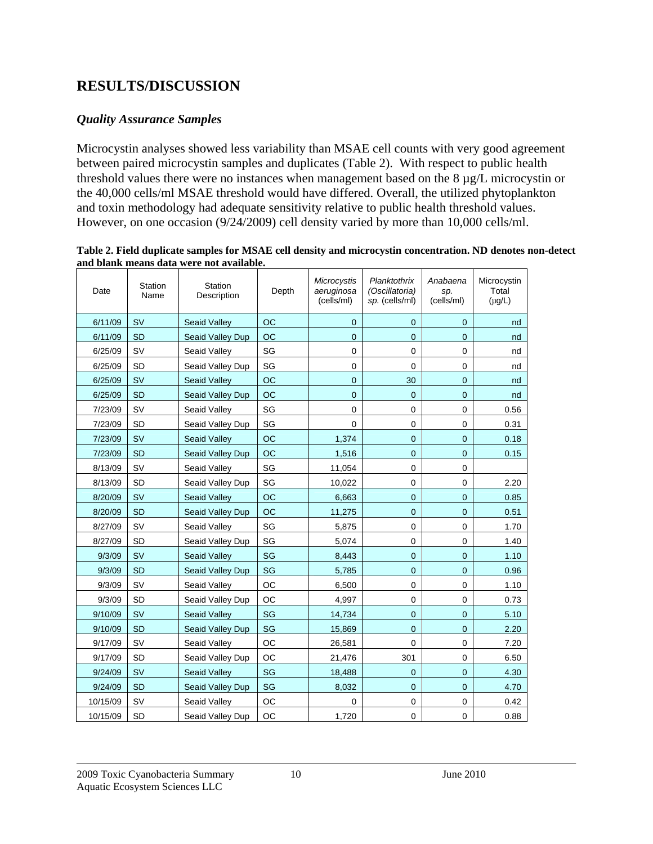### **RESULTS/DISCUSSION**

#### *Quality Assurance Samples*

Microcystin analyses showed less variability than MSAE cell counts with very good agreement between paired microcystin samples and duplicates (Table 2). With respect to public health threshold values there were no instances when management based on the 8 µg/L microcystin or the 40,000 cells/ml MSAE threshold would have differed. Overall, the utilized phytoplankton and toxin methodology had adequate sensitivity relative to public health threshold values. However, on one occasion (9/24/2009) cell density varied by more than 10,000 cells/ml.

**Table 2. Field duplicate samples for MSAE cell density and microcystin concentration. ND denotes non-detect and blank means data were not available.** 

| Date     | Station<br>Name | Station<br>Description | Depth     | Microcystis<br>aeruginosa<br>(cells/ml) | Planktothrix<br>(Oscillatoria)<br>sp. (cells/ml) | Anabaena<br>sp.<br>(cells/ml) | Microcystin<br>Total<br>$(\mu g/L)$ |
|----------|-----------------|------------------------|-----------|-----------------------------------------|--------------------------------------------------|-------------------------------|-------------------------------------|
| 6/11/09  | <b>SV</b>       | <b>Seaid Valley</b>    | <b>OC</b> | $\mathbf 0$                             | $\Omega$                                         | $\Omega$                      | nd                                  |
| 6/11/09  | <b>SD</b>       | Seaid Valley Dup       | OC        | $\overline{0}$                          | $\overline{0}$                                   | $\Omega$                      | nd                                  |
| 6/25/09  | SV              | Seaid Valley           | SG        | $\pmb{0}$                               | $\mathbf 0$                                      | $\mathbf 0$                   | nd                                  |
| 6/25/09  | <b>SD</b>       | Seaid Valley Dup       | SG        | $\mathbf 0$                             | $\mathbf 0$                                      | 0                             | nd                                  |
| 6/25/09  | <b>SV</b>       | <b>Seaid Valley</b>    | OC        | $\pmb{0}$                               | 30                                               | $\overline{0}$                | nd                                  |
| 6/25/09  | <b>SD</b>       | Seaid Valley Dup       | <b>OC</b> | $\overline{0}$                          | $\overline{0}$                                   | $\overline{0}$                | nd                                  |
| 7/23/09  | <b>SV</b>       | Seaid Valley           | SG        | $\mathbf 0$                             | $\mathbf 0$                                      | $\mathbf 0$                   | 0.56                                |
| 7/23/09  | <b>SD</b>       | Seaid Valley Dup       | SG        | $\mathbf{0}$                            | $\mathbf 0$                                      | $\mathbf 0$                   | 0.31                                |
| 7/23/09  | <b>SV</b>       | <b>Seaid Valley</b>    | OC        | 1,374                                   | $\mathbf 0$                                      | $\mathbf 0$                   | 0.18                                |
| 7/23/09  | <b>SD</b>       | Seaid Valley Dup       | <b>OC</b> | 1,516                                   | $\mathbf 0$                                      | $\mathbf 0$                   | 0.15                                |
| 8/13/09  | SV              | Seaid Valley           | SG        | 11,054                                  | $\mathbf 0$                                      | $\mathbf 0$                   |                                     |
| 8/13/09  | <b>SD</b>       | Seaid Valley Dup       | SG        | 10,022                                  | $\mathbf 0$                                      | $\mathbf 0$                   | 2.20                                |
| 8/20/09  | <b>SV</b>       | <b>Seaid Valley</b>    | <b>OC</b> | 6,663                                   | $\overline{0}$                                   | $\overline{0}$                | 0.85                                |
| 8/20/09  | <b>SD</b>       | Seaid Valley Dup       | OC        | 11,275                                  | $\overline{0}$                                   | $\overline{0}$                | 0.51                                |
| 8/27/09  | <b>SV</b>       | Seaid Valley           | SG        | 5,875                                   | 0                                                | $\mathbf 0$                   | 1.70                                |
| 8/27/09  | SD              | Seaid Valley Dup       | SG        | 5,074                                   | $\mathbf 0$                                      | $\mathbf 0$                   | 1.40                                |
| 9/3/09   | <b>SV</b>       | <b>Seaid Valley</b>    | SG        | 8,443                                   | $\mathbf 0$                                      | $\overline{0}$                | 1.10                                |
| 9/3/09   | <b>SD</b>       | Seaid Valley Dup       | SG        | 5,785                                   | $\overline{0}$                                   | $\overline{0}$                | 0.96                                |
| 9/3/09   | SV              | Seaid Valley           | OC        | 6,500                                   | $\mathbf 0$                                      | $\mathbf 0$                   | 1.10                                |
| 9/3/09   | SD              | Seaid Valley Dup       | OC        | 4,997                                   | $\pmb{0}$                                        | $\mathbf 0$                   | 0.73                                |
| 9/10/09  | SV              | <b>Seaid Valley</b>    | SG        | 14,734                                  | $\overline{0}$                                   | $\overline{0}$                | 5.10                                |
| 9/10/09  | <b>SD</b>       | Seaid Valley Dup       | SG        | 15,869                                  | $\mathbf 0$                                      | $\mathbf 0$                   | 2.20                                |
| 9/17/09  | SV              | Seaid Valley           | OC        | 26,581                                  | $\mathbf 0$                                      | 0                             | 7.20                                |
| 9/17/09  | <b>SD</b>       | Seaid Valley Dup       | OC        | 21,476                                  | 301                                              | $\mathbf 0$                   | 6.50                                |
| 9/24/09  | <b>SV</b>       | <b>Seaid Valley</b>    | SG        | 18,488                                  | $\mathbf 0$                                      | $\Omega$                      | 4.30                                |
| 9/24/09  | <b>SD</b>       | Seaid Valley Dup       | SG        | 8,032                                   | $\overline{0}$                                   | $\overline{0}$                | 4.70                                |
| 10/15/09 | SV              | Seaid Valley           | OC        | 0                                       | $\mathbf 0$                                      | $\mathbf 0$                   | 0.42                                |
| 10/15/09 | SD              | Seaid Valley Dup       | OC        | 1,720                                   | $\pmb{0}$                                        | $\mathbf 0$                   | 0.88                                |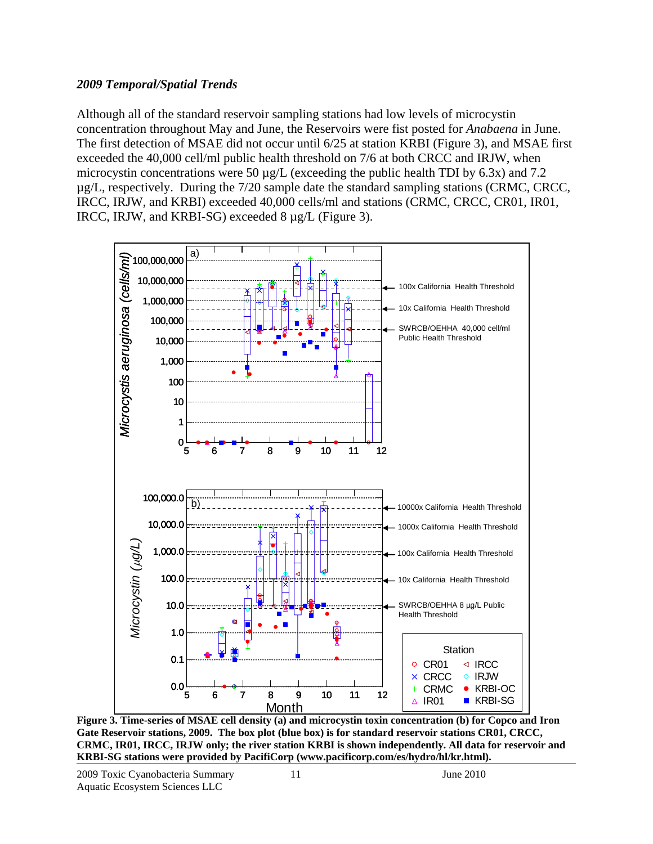#### *2009 Temporal/Spatial Trends*

Although all of the standard reservoir sampling stations had low levels of microcystin concentration throughout May and June, the Reservoirs were fist posted for *Anabaena* in June. The first detection of MSAE did not occur until 6/25 at station KRBI (Figure 3), and MSAE first exceeded the 40,000 cell/ml public health threshold on 7/6 at both CRCC and IRJW, when microcystin concentrations were 50  $\mu$ g/L (exceeding the public health TDI by 6.3x) and 7.2 µg/L, respectively. During the 7/20 sample date the standard sampling stations (CRMC, CRCC, IRCC, IRJW, and KRBI) exceeded 40,000 cells/ml and stations (CRMC, CRCC, CR01, IR01, IRCC, IRJW, and KRBI-SG) exceeded 8 µg/L (Figure 3).



**Figure 3. Time-series of MSAE cell density (a) and microcystin toxin concentration (b) for Copco and Iron Gate Reservoir stations, 2009. The box plot (blue box) is for standard reservoir stations CR01, CRCC, CRMC, IR01, IRCC, IRJW only; the river station KRBI is shown independently. All data for reservoir and KRBI-SG stations were provided by PacifiCorp (www.pacificorp.com/es/hydro/hl/kr.html).**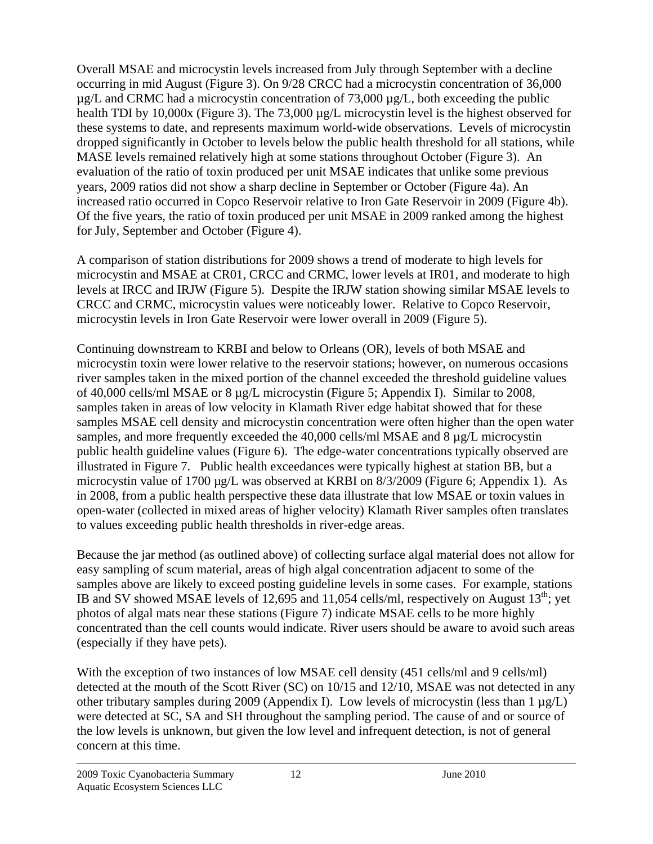Overall MSAE and microcystin levels increased from July through September with a decline occurring in mid August (Figure 3). On 9/28 CRCC had a microcystin concentration of 36,000  $\mu$ g/L and CRMC had a microcystin concentration of 73,000  $\mu$ g/L, both exceeding the public health TDI by 10,000x (Figure 3). The 73,000  $\mu$ g/L microcystin level is the highest observed for these systems to date, and represents maximum world-wide observations. Levels of microcystin dropped significantly in October to levels below the public health threshold for all stations, while MASE levels remained relatively high at some stations throughout October (Figure 3). An evaluation of the ratio of toxin produced per unit MSAE indicates that unlike some previous years, 2009 ratios did not show a sharp decline in September or October (Figure 4a). An increased ratio occurred in Copco Reservoir relative to Iron Gate Reservoir in 2009 (Figure 4b). Of the five years, the ratio of toxin produced per unit MSAE in 2009 ranked among the highest for July, September and October (Figure 4).

A comparison of station distributions for 2009 shows a trend of moderate to high levels for microcystin and MSAE at CR01, CRCC and CRMC, lower levels at IR01, and moderate to high levels at IRCC and IRJW (Figure 5). Despite the IRJW station showing similar MSAE levels to CRCC and CRMC, microcystin values were noticeably lower. Relative to Copco Reservoir, microcystin levels in Iron Gate Reservoir were lower overall in 2009 (Figure 5).

Continuing downstream to KRBI and below to Orleans (OR), levels of both MSAE and microcystin toxin were lower relative to the reservoir stations; however, on numerous occasions river samples taken in the mixed portion of the channel exceeded the threshold guideline values of 40,000 cells/ml MSAE or 8 µg/L microcystin (Figure 5; Appendix I). Similar to 2008, samples taken in areas of low velocity in Klamath River edge habitat showed that for these samples MSAE cell density and microcystin concentration were often higher than the open water samples, and more frequently exceeded the 40,000 cells/ml MSAE and 8  $\mu$ g/L microcystin public health guideline values (Figure 6). The edge-water concentrations typically observed are illustrated in Figure 7. Public health exceedances were typically highest at station BB, but a microcystin value of 1700 µg/L was observed at KRBI on 8/3/2009 (Figure 6; Appendix 1). As in 2008, from a public health perspective these data illustrate that low MSAE or toxin values in open-water (collected in mixed areas of higher velocity) Klamath River samples often translates to values exceeding public health thresholds in river-edge areas.

Because the jar method (as outlined above) of collecting surface algal material does not allow for easy sampling of scum material, areas of high algal concentration adjacent to some of the samples above are likely to exceed posting guideline levels in some cases. For example, stations IB and SV showed MSAE levels of 12,695 and 11,054 cells/ml, respectively on August  $13<sup>th</sup>$ ; yet photos of algal mats near these stations (Figure 7) indicate MSAE cells to be more highly concentrated than the cell counts would indicate. River users should be aware to avoid such areas (especially if they have pets).

With the exception of two instances of low MSAE cell density (451 cells/ml and 9 cells/ml) detected at the mouth of the Scott River (SC) on 10/15 and 12/10, MSAE was not detected in any other tributary samples during 2009 (Appendix I). Low levels of microcystin (less than  $1 \mu g/L$ ) were detected at SC, SA and SH throughout the sampling period. The cause of and or source of the low levels is unknown, but given the low level and infrequent detection, is not of general concern at this time.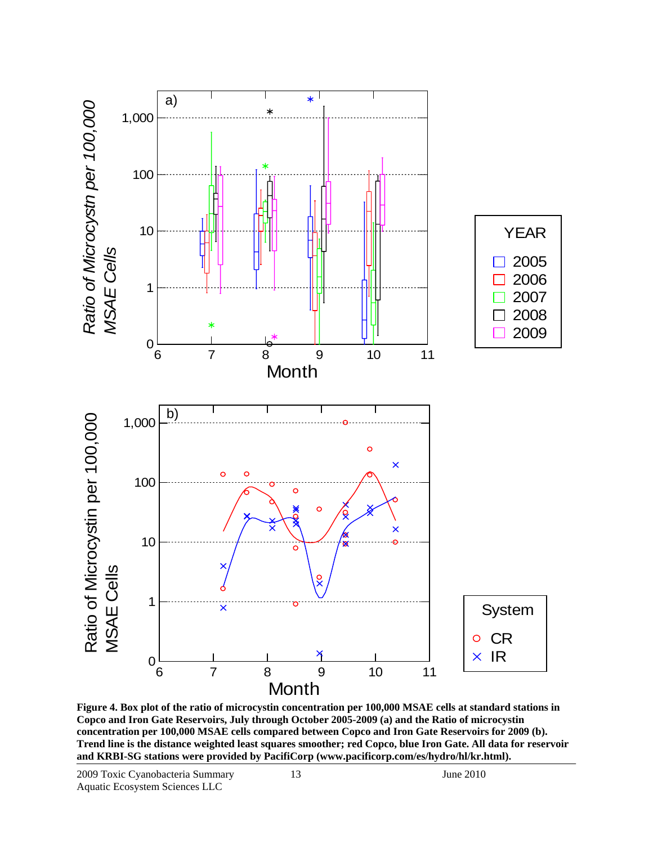

**Figure 4. Box plot of the ratio of microcystin concentration per 100,000 MSAE cells at standard stations in Copco and Iron Gate Reservoirs, July through October 2005-2009 (a) and the Ratio of microcystin concentration per 100,000 MSAE cells compared between Copco and Iron Gate Reservoirs for 2009 (b). Trend line is the distance weighted least squares smoother; red Copco, blue Iron Gate. All data for reservoir and KRBI-SG stations were provided by PacifiCorp (www.pacificorp.com/es/hydro/hl/kr.html).**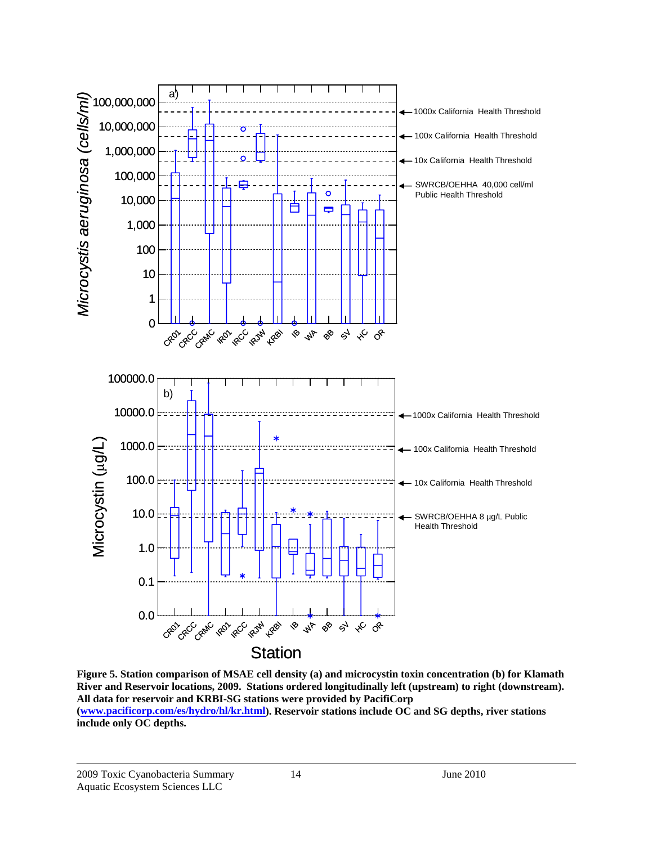

**Figure 5. Station comparison of MSAE cell density (a) and microcystin toxin concentration (b) for Klamath River and Reservoir locations, 2009. Stations ordered longitudinally left (upstream) to right (downstream). All data for reservoir and KRBI-SG stations were provided by PacifiCorp (www.pacificorp.com/es/hydro/hl/kr.html). Reservoir stations include OC and SG depths, river stations include only OC depths.**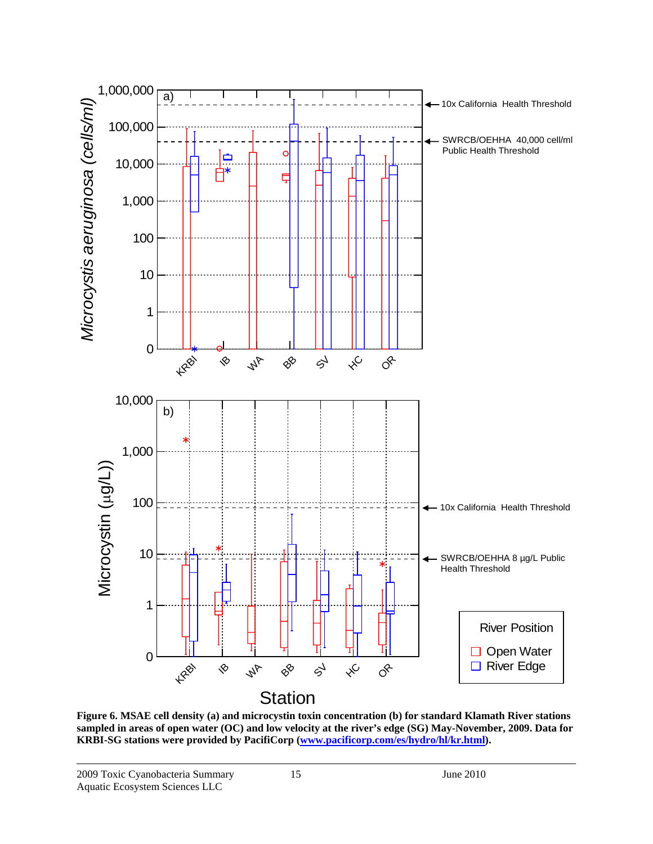

**Figure 6. MSAE cell density (a) and microcystin toxin concentration (b) for standard Klamath River stations sampled in areas of open water (OC) and low velocity at the river's edge (SG) May-November, 2009. Data for KRBI-SG stations were provided by PacifiCorp (www.pacificorp.com/es/hydro/hl/kr.html).**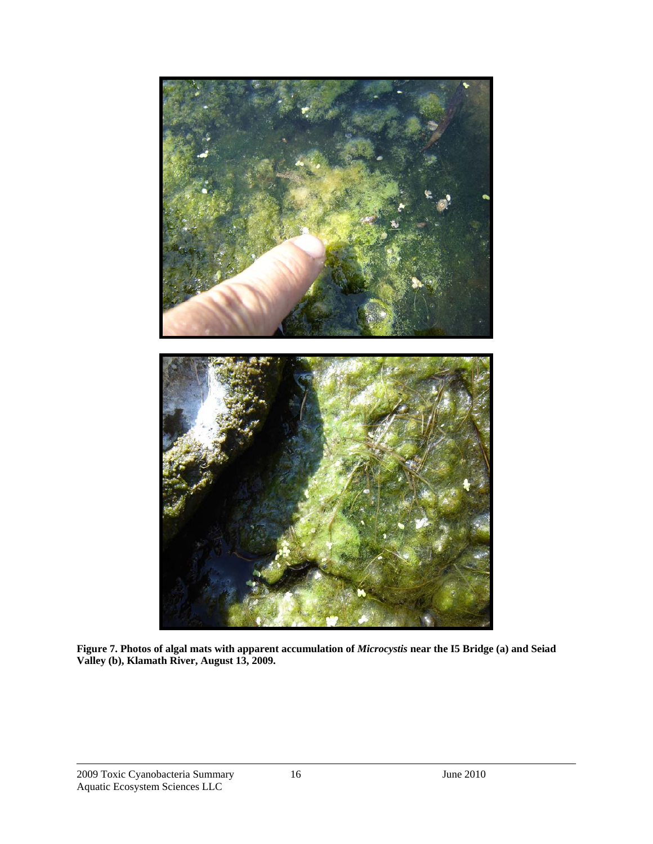

**Figure 7. Photos of algal mats with apparent accumulation of** *Microcystis* **near the I5 Bridge (a) and Seiad Valley (b), Klamath River, August 13, 2009.**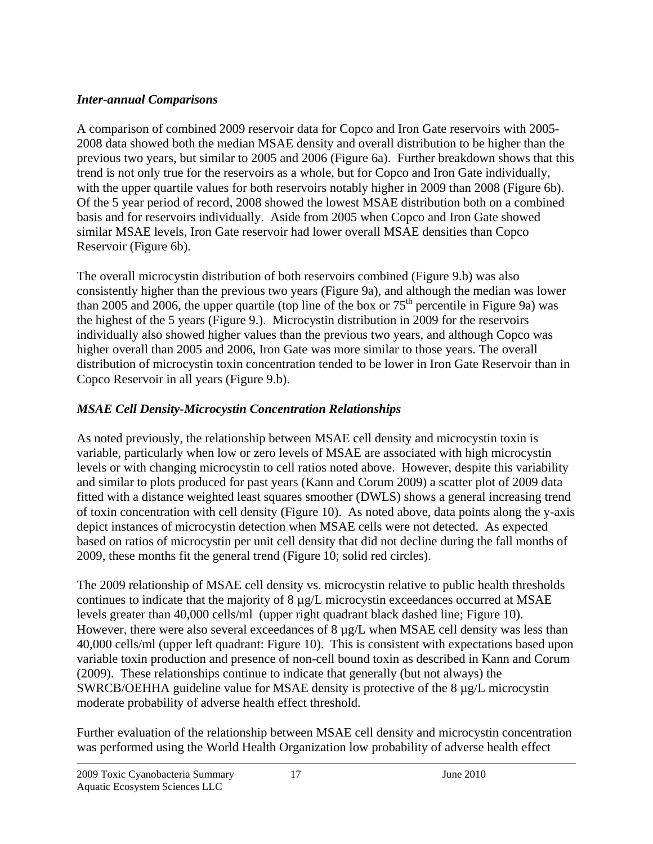### *Inter-annual Comparisons*

A comparison of combined 2009 reservoir data for Copco and Iron Gate reservoirs with 2005- 2008 data showed both the median MSAE density and overall distribution to be higher than the previous two years, but similar to 2005 and 2006 (Figure 6a). Further breakdown shows that this trend is not only true for the reservoirs as a whole, but for Copco and Iron Gate individually, with the upper quartile values for both reservoirs notably higher in 2009 than 2008 (Figure 6b). Of the 5 year period of record, 2008 showed the lowest MSAE distribution both on a combined basis and for reservoirs individually. Aside from 2005 when Copco and Iron Gate showed similar MSAE levels, Iron Gate reservoir had lower overall MSAE densities than Copco Reservoir (Figure 6b).

The overall microcystin distribution of both reservoirs combined (Figure 9.b) was also consistently higher than the previous two years (Figure 9a), and although the median was lower than 2005 and 2006, the upper quartile (top line of the box or  $75<sup>th</sup>$  percentile in Figure 9a) was the highest of the 5 years (Figure 9.). Microcystin distribution in 2009 for the reservoirs individually also showed higher values than the previous two years, and although Copco was higher overall than 2005 and 2006, Iron Gate was more similar to those years. The overall distribution of microcystin toxin concentration tended to be lower in Iron Gate Reservoir than in Copco Reservoir in all years (Figure 9.b).

### *MSAE Cell Density-Microcystin Concentration Relationships*

As noted previously, the relationship between MSAE cell density and microcystin toxin is variable, particularly when low or zero levels of MSAE are associated with high microcystin levels or with changing microcystin to cell ratios noted above. However, despite this variability and similar to plots produced for past years (Kann and Corum 2009) a scatter plot of 2009 data fitted with a distance weighted least squares smoother (DWLS) shows a general increasing trend of toxin concentration with cell density (Figure 10). As noted above, data points along the y-axis depict instances of microcystin detection when MSAE cells were not detected. As expected based on ratios of microcystin per unit cell density that did not decline during the fall months of 2009, these months fit the general trend (Figure 10; solid red circles).

The 2009 relationship of MSAE cell density vs. microcystin relative to public health thresholds continues to indicate that the majority of 8 µg/L microcystin exceedances occurred at MSAE levels greater than 40,000 cells/ml (upper right quadrant black dashed line; Figure 10). However, there were also several exceedances of  $8 \mu g/L$  when MSAE cell density was less than 40,000 cells/ml (upper left quadrant: Figure 10). This is consistent with expectations based upon variable toxin production and presence of non-cell bound toxin as described in Kann and Corum (2009). These relationships continue to indicate that generally (but not always) the SWRCB/OEHHA guideline value for MSAE density is protective of the 8 µg/L microcystin moderate probability of adverse health effect threshold.

Further evaluation of the relationship between MSAE cell density and microcystin concentration was performed using the World Health Organization low probability of adverse health effect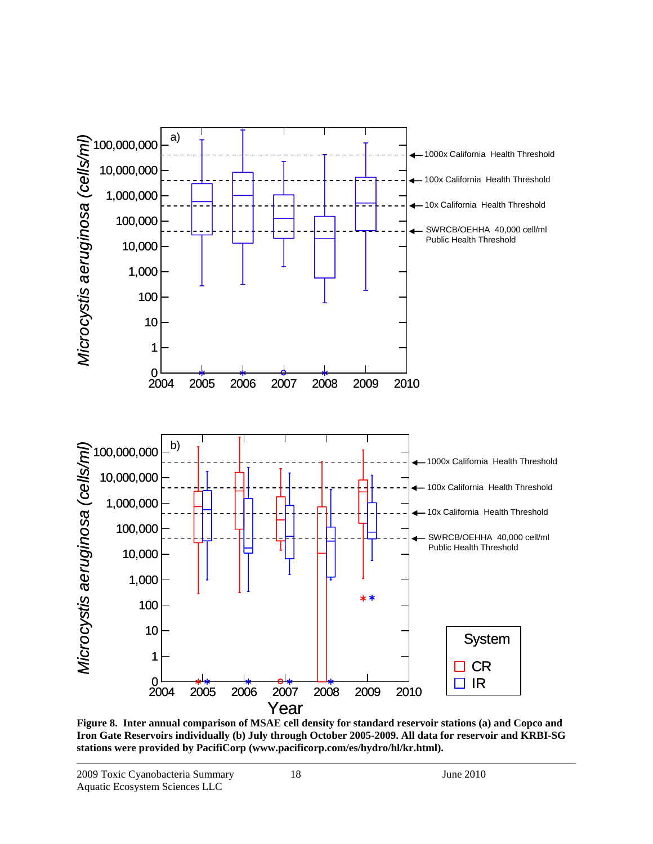

**Figure 8. Inter annual comparison of MSAE cell density for standard reservoir stations (a) and Copco and Iron Gate Reservoirs individually (b) July through October 2005-2009. All data for reservoir and KRBI-SG stations were provided by PacifiCorp (www.pacificorp.com/es/hydro/hl/kr.html).**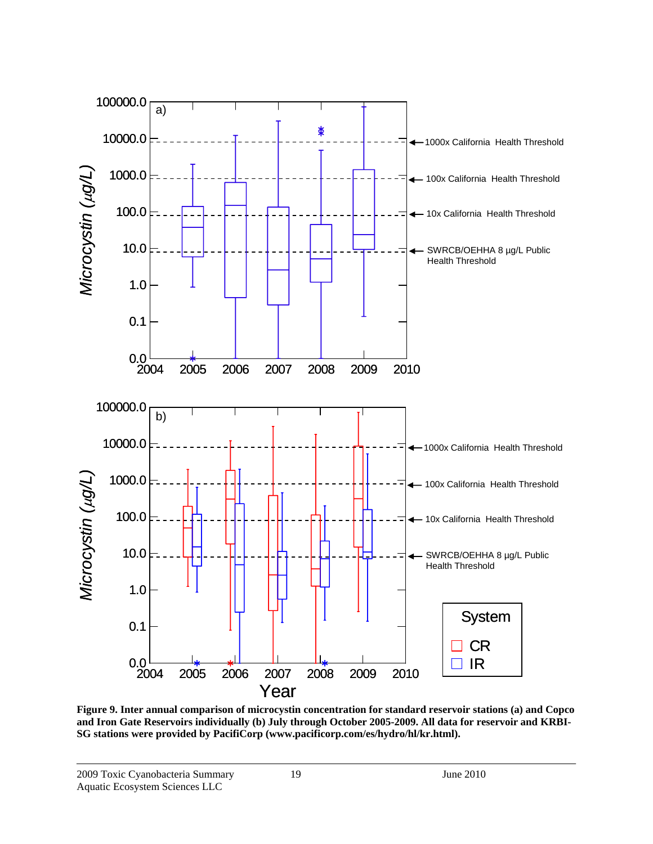

**Figure 9. Inter annual comparison of microcystin concentration for standard reservoir stations (a) and Copco and Iron Gate Reservoirs individually (b) July through October 2005-2009. All data for reservoir and KRBI-SG stations were provided by PacifiCorp (www.pacificorp.com/es/hydro/hl/kr.html).**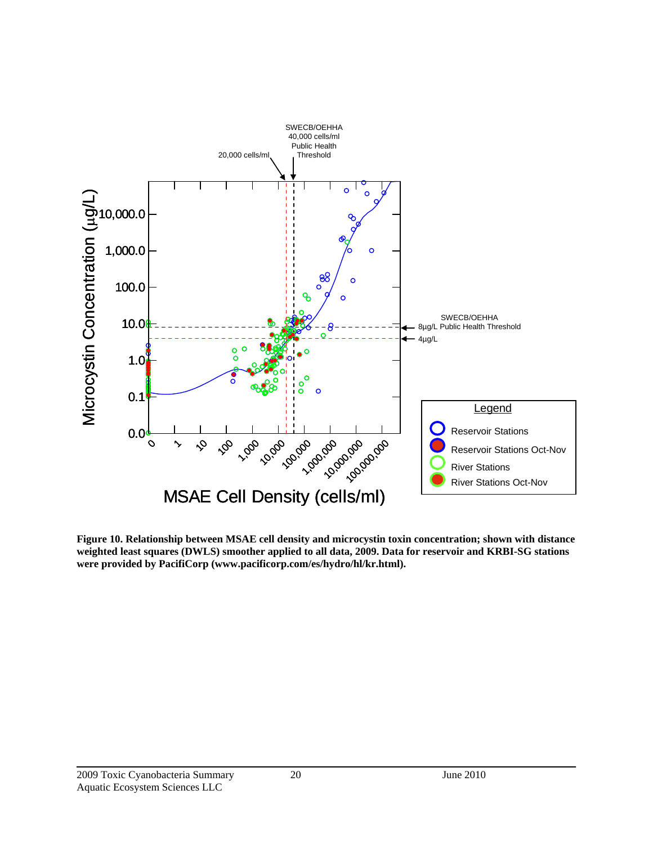

**Figure 10. Relationship between MSAE cell density and microcystin toxin concentration; shown with distance weighted least squares (DWLS) smoother applied to all data, 2009. Data for reservoir and KRBI-SG stations were provided by PacifiCorp (www.pacificorp.com/es/hydro/hl/kr.html).**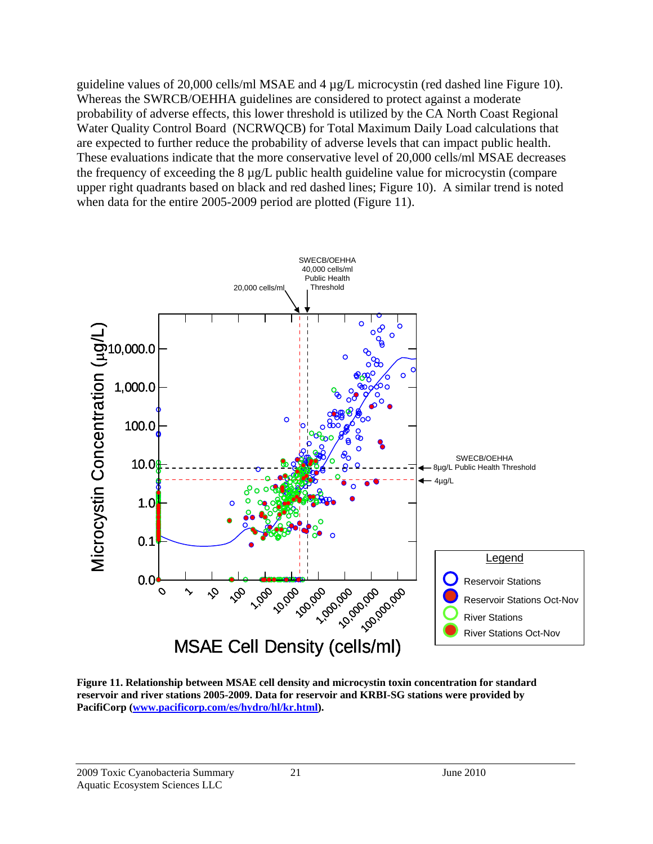guideline values of 20,000 cells/ml MSAE and 4 µg/L microcystin (red dashed line Figure 10). Whereas the SWRCB/OEHHA guidelines are considered to protect against a moderate probability of adverse effects, this lower threshold is utilized by the CA North Coast Regional Water Quality Control Board (NCRWQCB) for Total Maximum Daily Load calculations that are expected to further reduce the probability of adverse levels that can impact public health. These evaluations indicate that the more conservative level of 20,000 cells/ml MSAE decreases the frequency of exceeding the 8 µg/L public health guideline value for microcystin (compare upper right quadrants based on black and red dashed lines; Figure 10). A similar trend is noted when data for the entire 2005-2009 period are plotted (Figure 11).



**Figure 11. Relationship between MSAE cell density and microcystin toxin concentration for standard reservoir and river stations 2005-2009. Data for reservoir and KRBI-SG stations were provided by PacifiCorp (www.pacificorp.com/es/hydro/hl/kr.html).**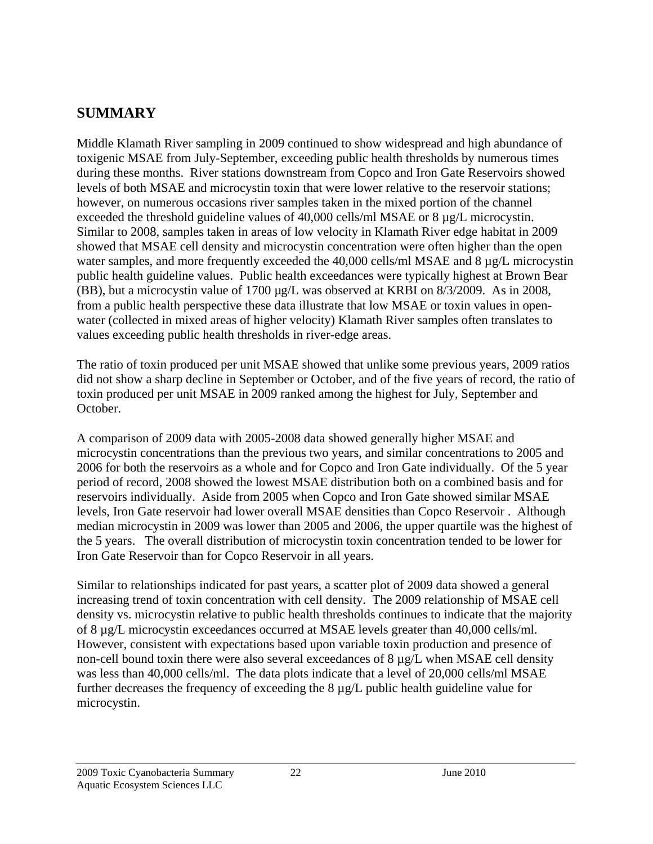## **SUMMARY**

Middle Klamath River sampling in 2009 continued to show widespread and high abundance of toxigenic MSAE from July-September, exceeding public health thresholds by numerous times during these months. River stations downstream from Copco and Iron Gate Reservoirs showed levels of both MSAE and microcystin toxin that were lower relative to the reservoir stations; however, on numerous occasions river samples taken in the mixed portion of the channel exceeded the threshold guideline values of 40,000 cells/ml MSAE or 8 µg/L microcystin. Similar to 2008, samples taken in areas of low velocity in Klamath River edge habitat in 2009 showed that MSAE cell density and microcystin concentration were often higher than the open water samples, and more frequently exceeded the 40,000 cells/ml MSAE and 8 µg/L microcystin public health guideline values. Public health exceedances were typically highest at Brown Bear (BB), but a microcystin value of 1700 µg/L was observed at KRBI on 8/3/2009. As in 2008, from a public health perspective these data illustrate that low MSAE or toxin values in openwater (collected in mixed areas of higher velocity) Klamath River samples often translates to values exceeding public health thresholds in river-edge areas.

The ratio of toxin produced per unit MSAE showed that unlike some previous years, 2009 ratios did not show a sharp decline in September or October, and of the five years of record, the ratio of toxin produced per unit MSAE in 2009 ranked among the highest for July, September and October.

A comparison of 2009 data with 2005-2008 data showed generally higher MSAE and microcystin concentrations than the previous two years, and similar concentrations to 2005 and 2006 for both the reservoirs as a whole and for Copco and Iron Gate individually. Of the 5 year period of record, 2008 showed the lowest MSAE distribution both on a combined basis and for reservoirs individually. Aside from 2005 when Copco and Iron Gate showed similar MSAE levels, Iron Gate reservoir had lower overall MSAE densities than Copco Reservoir . Although median microcystin in 2009 was lower than 2005 and 2006, the upper quartile was the highest of the 5 years. The overall distribution of microcystin toxin concentration tended to be lower for Iron Gate Reservoir than for Copco Reservoir in all years.

Similar to relationships indicated for past years, a scatter plot of 2009 data showed a general increasing trend of toxin concentration with cell density. The 2009 relationship of MSAE cell density vs. microcystin relative to public health thresholds continues to indicate that the majority of 8 µg/L microcystin exceedances occurred at MSAE levels greater than 40,000 cells/ml. However, consistent with expectations based upon variable toxin production and presence of non-cell bound toxin there were also several exceedances of 8 µg/L when MSAE cell density was less than 40,000 cells/ml. The data plots indicate that a level of 20,000 cells/ml MSAE further decreases the frequency of exceeding the 8 µg/L public health guideline value for microcystin.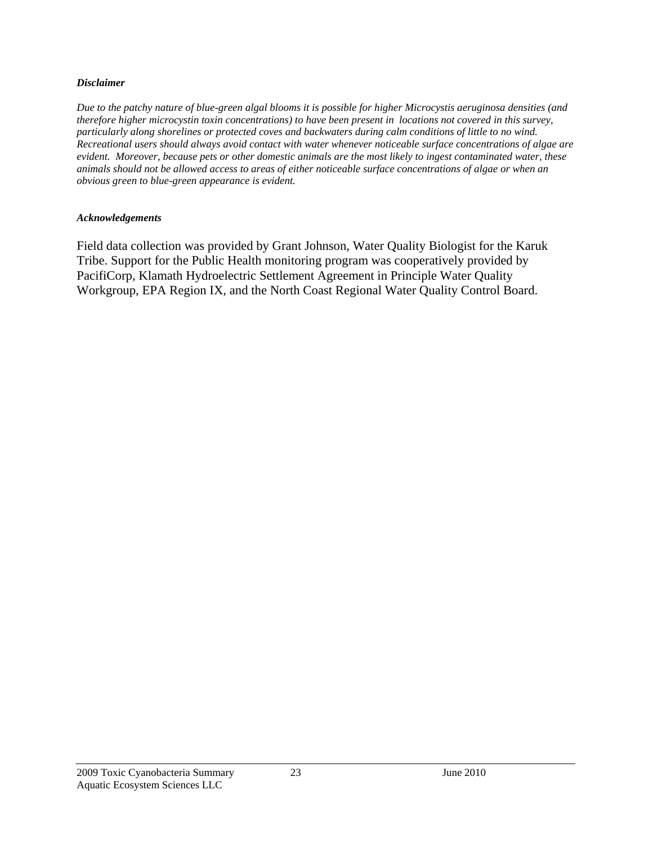#### *Disclaimer*

*Due to the patchy nature of blue-green algal blooms it is possible for higher Microcystis aeruginosa densities (and therefore higher microcystin toxin concentrations) to have been present in locations not covered in this survey, particularly along shorelines or protected coves and backwaters during calm conditions of little to no wind. Recreational users should always avoid contact with water whenever noticeable surface concentrations of algae are evident. Moreover, because pets or other domestic animals are the most likely to ingest contaminated water, these animals should not be allowed access to areas of either noticeable surface concentrations of algae or when an obvious green to blue-green appearance is evident.* 

#### *Acknowledgements*

Field data collection was provided by Grant Johnson, Water Quality Biologist for the Karuk Tribe. Support for the Public Health monitoring program was cooperatively provided by PacifiCorp, Klamath Hydroelectric Settlement Agreement in Principle Water Quality Workgroup, EPA Region IX, and the North Coast Regional Water Quality Control Board.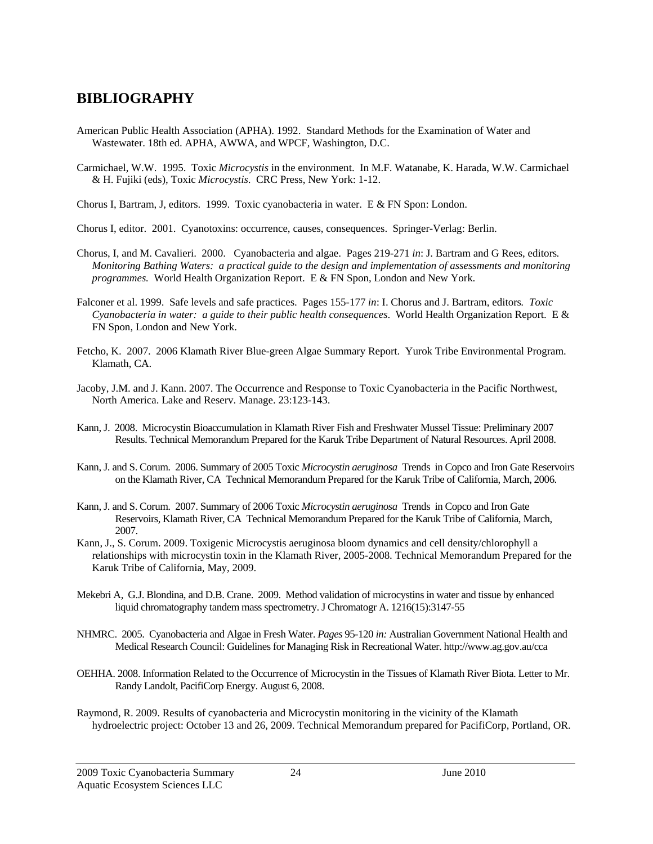### **BIBLIOGRAPHY**

- American Public Health Association (APHA). 1992. Standard Methods for the Examination of Water and Wastewater. 18th ed. APHA, AWWA, and WPCF, Washington, D.C.
- Carmichael, W.W. 1995. Toxic *Microcystis* in the environment. In M.F. Watanabe, K. Harada, W.W. Carmichael & H. Fujiki (eds), Toxic *Microcystis*. CRC Press, New York: 1-12.

Chorus I, Bartram, J, editors. 1999. Toxic cyanobacteria in water. E & FN Spon: London.

- Chorus I, editor. 2001. Cyanotoxins: occurrence, causes, consequences. Springer-Verlag: Berlin.
- Chorus, I, and M. Cavalieri. 2000. Cyanobacteria and algae. Pages 219-271 *in*: J. Bartram and G Rees, editors*. Monitoring Bathing Waters: a practical guide to the design and implementation of assessments and monitoring programmes.* World Health Organization Report. E & FN Spon, London and New York.
- Falconer et al. 1999. Safe levels and safe practices. Pages 155-177 *in*: I. Chorus and J. Bartram, editors*. Toxic Cyanobacteria in water: a guide to their public health consequences*. World Health Organization Report. E & FN Spon, London and New York.
- Fetcho, K. 2007. 2006 Klamath River Blue-green Algae Summary Report. Yurok Tribe Environmental Program. Klamath, CA.
- Jacoby, J.M. and J. Kann. 2007. The Occurrence and Response to Toxic Cyanobacteria in the Pacific Northwest, North America. Lake and Reserv. Manage. 23:123-143.
- Kann, J. 2008. Microcystin Bioaccumulation in Klamath River Fish and Freshwater Mussel Tissue: Preliminary 2007 Results. Technical Memorandum Prepared for the Karuk Tribe Department of Natural Resources. April 2008.
- Kann, J. and S. Corum. 2006. Summary of 2005 Toxic *Microcystin aeruginosa* Trends in Copco and Iron Gate Reservoirs on the Klamath River, CA Technical Memorandum Prepared for the Karuk Tribe of California, March, 2006.
- Kann, J. and S. Corum. 2007. Summary of 2006 Toxic *Microcystin aeruginosa* Trends in Copco and Iron Gate Reservoirs, Klamath River, CA Technical Memorandum Prepared for the Karuk Tribe of California, March, 2007.
- Kann, J., S. Corum. 2009. Toxigenic Microcystis aeruginosa bloom dynamics and cell density/chlorophyll a relationships with microcystin toxin in the Klamath River, 2005-2008. Technical Memorandum Prepared for the Karuk Tribe of California, May, 2009.
- Mekebri A, G.J. Blondina, and D.B. Crane. 2009. Method validation of microcystins in water and tissue by enhanced liquid chromatography tandem mass spectrometry. J Chromatogr A. 1216(15):3147-55
- NHMRC. 2005. Cyanobacteria and Algae in Fresh Water. *Pages* 95-120 *in:* Australian Government National Health and Medical Research Council: Guidelines for Managing Risk in Recreational Water. http://www.ag.gov.au/cca
- OEHHA. 2008. Information Related to the Occurrence of Microcystin in the Tissues of Klamath River Biota. Letter to Mr. Randy Landolt, PacifiCorp Energy. August 6, 2008.
- Raymond, R. 2009. Results of cyanobacteria and Microcystin monitoring in the vicinity of the Klamath hydroelectric project: October 13 and 26, 2009. Technical Memorandum prepared for PacifiCorp, Portland, OR.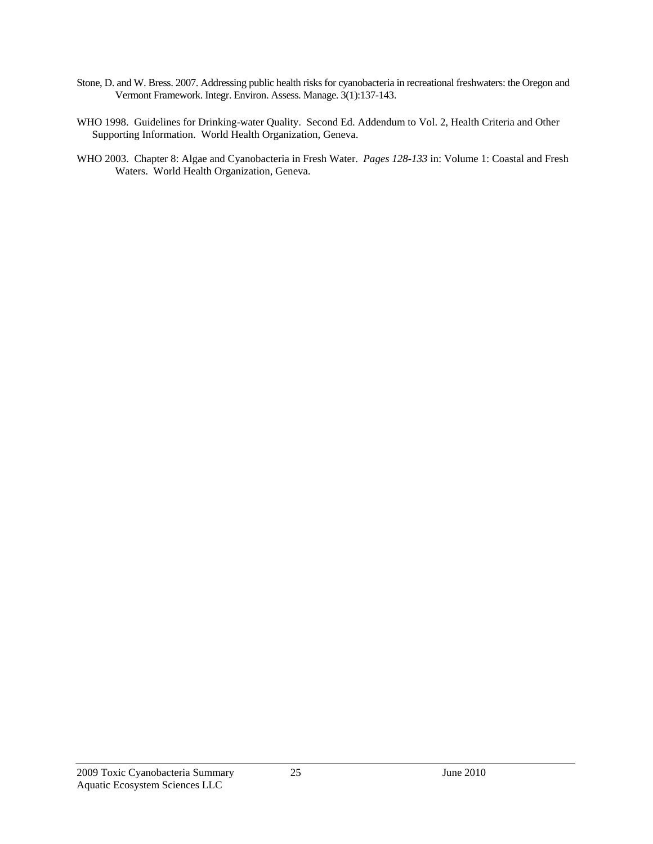- Stone, D. and W. Bress. 2007. Addressing public health risks for cyanobacteria in recreational freshwaters: the Oregon and Vermont Framework. Integr. Environ. Assess. Manage. 3(1):137-143.
- WHO 1998. Guidelines for Drinking-water Quality. Second Ed. Addendum to Vol. 2, Health Criteria and Other Supporting Information. World Health Organization, Geneva.
- WHO 2003. Chapter 8: Algae and Cyanobacteria in Fresh Water. *Pages 128-133* in: Volume 1: Coastal and Fresh Waters. World Health Organization, Geneva.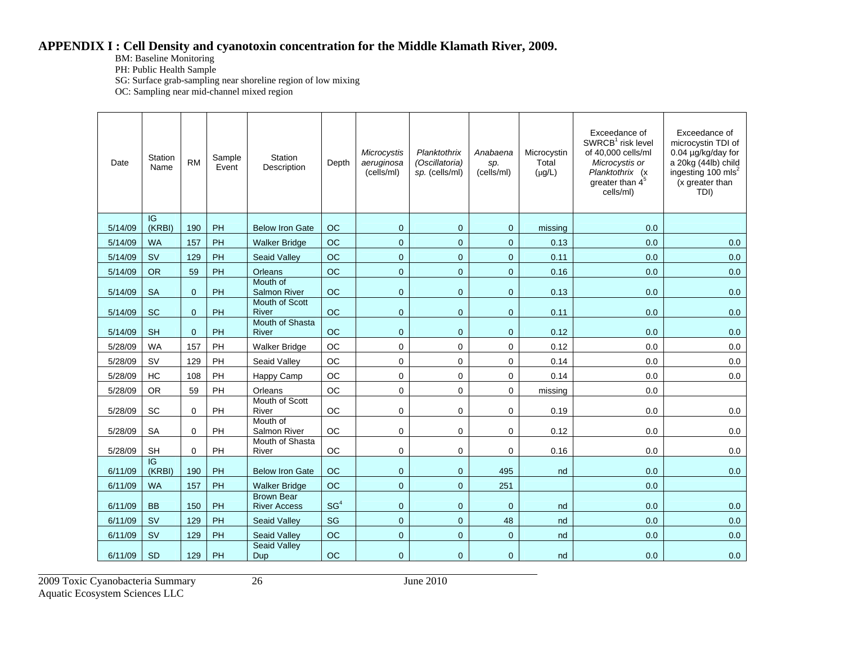#### **APPENDIX I : Cell Density and cyanotoxin concentration for the Middle Klamath River, 2009.**

BM: Baseline Monitoring

PH: Public Health Sample

SG: Surface grab-sampling near shoreline region of low mixing

OC: Sampling near mid-channel mixed region

| Date    | <b>Station</b><br>Name | <b>RM</b>      | Sample<br>Event | <b>Station</b><br>Description            | Depth           | Microcystis<br>aeruginosa<br>(cells/ml) | Planktothrix<br>(Oscillatoria)<br>sp. (cells/ml) | Anabaena<br>sp.<br>(cells/ml) | Microcystin<br>Total<br>$(\mu g/L)$ | Exceedance of<br>$SWRCB1$ risk level<br>of 40,000 cells/ml<br>Microcystis or<br>Planktothrix (x<br>greater than $45$<br>cells/ml) | Exceedance of<br>microcystin TDI of<br>0.04 µg/kg/day for<br>a 20kg (44lb) child<br>ingesting 100 mls <sup>2</sup><br>(x greater than<br>TDI) |
|---------|------------------------|----------------|-----------------|------------------------------------------|-----------------|-----------------------------------------|--------------------------------------------------|-------------------------------|-------------------------------------|-----------------------------------------------------------------------------------------------------------------------------------|-----------------------------------------------------------------------------------------------------------------------------------------------|
| 5/14/09 | IG<br>(KRBI)           | 190            | PH              | <b>Below Iron Gate</b>                   | OC              | $\mathbf{0}$                            | $\mathbf{0}$                                     | $\mathbf 0$                   | missing                             | 0.0                                                                                                                               |                                                                                                                                               |
| 5/14/09 | <b>WA</b>              | 157            | PH              | <b>Walker Bridge</b>                     | OC              | $\mathsf{O}\xspace$                     | $\overline{0}$                                   | $\overline{0}$                | 0.13                                | 0.0                                                                                                                               | 0.0                                                                                                                                           |
| 5/14/09 | <b>SV</b>              | 129            | PH              | <b>Seaid Valley</b>                      | OC              | $\mathbf 0$                             | $\mathbf{0}$                                     | $\mathbf 0$                   | 0.11                                | 0.0                                                                                                                               | 0.0                                                                                                                                           |
| 5/14/09 | <b>OR</b>              | 59             | PH              | Orleans                                  | OC              | $\overline{0}$                          | $\overline{0}$                                   | $\overline{0}$                | 0.16                                | 0.0                                                                                                                               | 0.0                                                                                                                                           |
| 5/14/09 | <b>SA</b>              | $\overline{0}$ | PH              | Mouth of<br><b>Salmon River</b>          | <b>OC</b>       | $\mathbf{0}$                            | $\overline{0}$                                   | $\overline{0}$                | 0.13                                | 0.0                                                                                                                               | 0.0                                                                                                                                           |
| 5/14/09 | <b>SC</b>              | $\mathbf{0}$   | PH              | Mouth of Scott<br>River                  | <b>OC</b>       | $\overline{0}$                          | $\mathbf{0}$                                     | $\overline{0}$                | 0.11                                | 0.0                                                                                                                               | 0.0                                                                                                                                           |
| 5/14/09 | <b>SH</b>              | $\overline{0}$ | PH              | Mouth of Shasta<br>River                 | OC              | $\mathbf{0}$                            | $\mathbf{0}$                                     | $\mathbf{0}$                  | 0.12                                | 0.0                                                                                                                               | 0.0                                                                                                                                           |
| 5/28/09 | <b>WA</b>              | 157            | PH              | <b>Walker Bridge</b>                     | OC              | $\mathbf 0$                             | 0                                                | 0                             | 0.12                                | 0.0                                                                                                                               | 0.0                                                                                                                                           |
| 5/28/09 | <b>SV</b>              | 129            | PH              | Seaid Valley                             | <b>OC</b>       | 0                                       | 0                                                | 0                             | 0.14                                | 0.0                                                                                                                               | 0.0                                                                                                                                           |
| 5/28/09 | HC                     | 108            | PH              | Happy Camp                               | OC              | 0                                       | 0                                                | 0                             | 0.14                                | 0.0                                                                                                                               | 0.0                                                                                                                                           |
| 5/28/09 | <b>OR</b>              | 59             | PH              | Orleans                                  | <b>OC</b>       | $\mathbf 0$                             | 0                                                | $\mathbf 0$                   | missing                             | 0.0                                                                                                                               |                                                                                                                                               |
| 5/28/09 | <b>SC</b>              | 0              | PH              | Mouth of Scott<br>River                  | OC              | 0                                       | 0                                                | 0                             | 0.19                                | 0.0                                                                                                                               | 0.0                                                                                                                                           |
| 5/28/09 | <b>SA</b>              | $\mathbf 0$    | PH              | Mouth of<br>Salmon River                 | <b>OC</b>       | 0                                       | $\Omega$                                         | $\mathbf 0$                   | 0.12                                | 0.0                                                                                                                               | 0.0                                                                                                                                           |
| 5/28/09 | <b>SH</b>              | $\mathbf 0$    | PH              | Mouth of Shasta<br>River                 | <b>OC</b>       | $\mathbf 0$                             | 0                                                | 0                             | 0.16                                | 0.0                                                                                                                               | 0.0                                                                                                                                           |
| 6/11/09 | IG<br>(KRBI)           | 190            | PH              | <b>Below Iron Gate</b>                   | <b>OC</b>       | $\mathbf{0}$                            | $\mathbf{0}$                                     | 495                           | nd                                  | 0.0                                                                                                                               | 0.0                                                                                                                                           |
| 6/11/09 | <b>WA</b>              | 157            | PH              | <b>Walker Bridge</b>                     | <b>OC</b>       | $\overline{0}$                          | $\mathbf{0}$                                     | 251                           |                                     | 0.0                                                                                                                               |                                                                                                                                               |
| 6/11/09 | <b>BB</b>              | 150            | PH              | <b>Brown Bear</b><br><b>River Access</b> | SG <sup>4</sup> | $\mathbf 0$                             | $\mathbf 0$                                      | $\mathbf 0$                   | nd                                  | 0.0                                                                                                                               | 0.0                                                                                                                                           |
| 6/11/09 | <b>SV</b>              | 129            | PH              | <b>Seaid Valley</b>                      | <b>SG</b>       | $\overline{0}$                          | $\overline{0}$                                   | 48                            | nd                                  | 0.0                                                                                                                               | 0.0                                                                                                                                           |
| 6/11/09 | SV                     | 129            | PH              | <b>Seaid Valley</b>                      | OC              | $\overline{0}$                          | $\overline{0}$                                   | $\mathbf 0$                   | nd                                  | 0.0                                                                                                                               | 0.0                                                                                                                                           |
| 6/11/09 | <b>SD</b>              | 129            | PH              | <b>Seaid Valley</b><br>Dup               | OC              | $\overline{0}$                          | $\overline{0}$                                   | $\mathbf{0}$                  | nd                                  | 0.0                                                                                                                               | 0.0                                                                                                                                           |

2009 Toxic Cyanobacteria Summary 26 June 2010 Aquatic Ecosystem Sciences LLC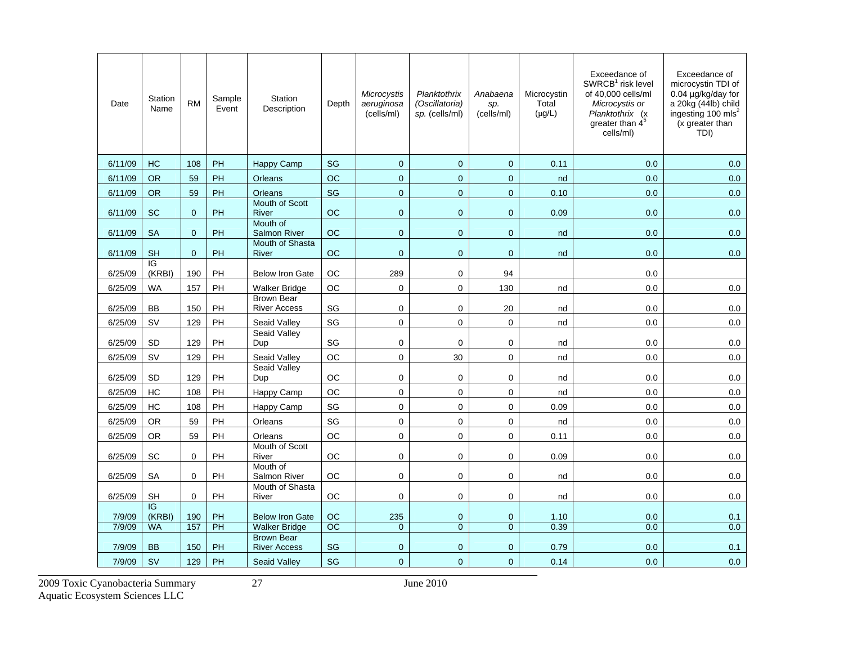| Date    | Station<br>Name | <b>RM</b>      | Sample<br>Event | <b>Station</b><br>Description            | Depth     | Microcystis<br>aeruginosa<br>(cells/ml) | Planktothrix<br>(Oscillatoria)<br>sp. (cells/ml) | Anabaena<br>sp.<br>(cells/ml) | Microcystin<br>Total<br>$(\mu g/L)$ | Exceedance of<br>SWRCB <sup>1</sup> risk level<br>of 40,000 cells/ml<br>Microcystis or<br>Planktothrix (x)<br>greater than $4^5$<br>cells/ml) | Exceedance of<br>microcystin TDI of<br>0.04 µg/kg/day for<br>a 20kg (44lb) child<br>ingesting 100 mls <sup>2</sup><br>(x greater than<br>TDI) |
|---------|-----------------|----------------|-----------------|------------------------------------------|-----------|-----------------------------------------|--------------------------------------------------|-------------------------------|-------------------------------------|-----------------------------------------------------------------------------------------------------------------------------------------------|-----------------------------------------------------------------------------------------------------------------------------------------------|
| 6/11/09 | HC              | 108            | PH              | Happy Camp                               | SG        | $\mathbf 0$                             | $\mathbf 0$                                      | $\mathbf 0$                   | 0.11                                | 0.0                                                                                                                                           | 0.0                                                                                                                                           |
| 6/11/09 | <b>OR</b>       | 59             | PH              | Orleans                                  | <b>OC</b> | $\mathbf{0}$                            | $\overline{0}$                                   | $\overline{0}$                | nd                                  | 0.0                                                                                                                                           | 0.0                                                                                                                                           |
| 6/11/09 | <b>OR</b>       | 59             | PH              | <b>Orleans</b>                           | SG        | $\mathbf 0$                             | $\overline{0}$                                   | $\mathbf{0}$                  | 0.10                                | 0.0                                                                                                                                           | 0.0                                                                                                                                           |
| 6/11/09 | <b>SC</b>       | $\overline{0}$ | PH              | Mouth of Scott<br>River                  | <b>OC</b> | $\mathbf 0$                             | $\mathbf 0$                                      | $\mathbf 0$                   | 0.09                                | 0.0                                                                                                                                           | 0.0                                                                                                                                           |
| 6/11/09 | <b>SA</b>       | $\Omega$       | <b>PH</b>       | Mouth of<br><b>Salmon River</b>          | <b>OC</b> | $\mathbf{0}$                            | $\Omega$                                         | $\mathbf{0}$                  | nd                                  | 0.0                                                                                                                                           | 0.0                                                                                                                                           |
| 6/11/09 | <b>SH</b>       | $\mathbf{0}$   | <b>PH</b>       | Mouth of Shasta<br>River                 | <b>OC</b> | $\mathbf{0}$                            | $\mathbf{0}$                                     | $\mathbf{0}$                  | nd                                  | 0.0                                                                                                                                           | 0.0                                                                                                                                           |
| 6/25/09 | IG<br>(KRBI)    | 190            | PH              | <b>Below Iron Gate</b>                   | OC        | 289                                     | 0                                                | 94                            |                                     | 0.0                                                                                                                                           |                                                                                                                                               |
| 6/25/09 | <b>WA</b>       | 157            | PH              | Walker Bridge                            | <b>OC</b> | $\mathbf 0$                             | $\mathbf 0$                                      | 130                           | nd                                  | 0.0                                                                                                                                           | 0.0                                                                                                                                           |
| 6/25/09 | BB              | 150            | PH              | <b>Brown Bear</b><br><b>River Access</b> | SG        | $\mathbf 0$                             | $\mathbf 0$                                      | 20                            | nd                                  | 0.0                                                                                                                                           | 0.0                                                                                                                                           |
| 6/25/09 | <b>SV</b>       | 129            | PH              | Seaid Valley                             | SG        | $\mathbf 0$                             | $\mathbf 0$                                      | $\mathbf 0$                   | nd                                  | 0.0                                                                                                                                           | 0.0                                                                                                                                           |
| 6/25/09 | <b>SD</b>       | 129            | <b>PH</b>       | <b>Seaid Valley</b><br>Dup               | SG        | $\mathbf 0$                             | $\mathbf 0$                                      | $\mathbf 0$                   | nd                                  | 0.0                                                                                                                                           | 0.0                                                                                                                                           |
| 6/25/09 | <b>SV</b>       | 129            | PH              | Seaid Valley                             | <b>OC</b> | $\mathbf 0$                             | 30                                               | $\mathbf 0$                   | nd                                  | 0.0                                                                                                                                           | 0.0                                                                                                                                           |
| 6/25/09 | SD              | 129            | PH              | <b>Seaid Valley</b><br>Dup               | OC        | 0                                       | 0                                                | 0                             | nd                                  | 0.0                                                                                                                                           | 0.0                                                                                                                                           |
| 6/25/09 | HC              | 108            | PH              | Happy Camp                               | OC        | $\Omega$                                | $\Omega$                                         | $\Omega$                      | nd                                  | 0.0                                                                                                                                           | $0.0\,$                                                                                                                                       |
| 6/25/09 | HC              | 108            | PH              | Happy Camp                               | SG        | $\mathbf 0$                             | 0                                                | $\Omega$                      | 0.09                                | 0.0                                                                                                                                           | 0.0                                                                                                                                           |
| 6/25/09 | <b>OR</b>       | 59             | PH              | Orleans                                  | SG        | $\mathbf 0$                             | $\mathbf 0$                                      | $\mathbf 0$                   | nd                                  | 0.0                                                                                                                                           | 0.0                                                                                                                                           |
| 6/25/09 | <b>OR</b>       | 59             | PH              | Orleans                                  | OC        | $\pmb{0}$                               | 0                                                | $\pmb{0}$                     | 0.11                                | 0.0                                                                                                                                           | 0.0                                                                                                                                           |
| 6/25/09 | SC              | $\Omega$       | PH              | Mouth of Scott<br>River                  | OC        | $\mathbf 0$                             | 0                                                | $\mathbf 0$                   | 0.09                                | 0.0                                                                                                                                           | 0.0                                                                                                                                           |
| 6/25/09 | <b>SA</b>       | $\Omega$       | PH              | Mouth of<br>Salmon River                 | ОC        | $\mathbf 0$                             | $\mathbf 0$                                      | $\mathbf 0$                   | nd                                  | 0.0                                                                                                                                           | 0.0                                                                                                                                           |
| 6/25/09 | <b>SH</b>       | $\mathbf 0$    | PH              | Mouth of Shasta<br>River                 | OC        | $\mathbf 0$                             | 0                                                | 0                             | nd                                  | 0.0                                                                                                                                           | 0.0                                                                                                                                           |
| 7/9/09  | IG<br>(KRBI)    | 190            | PH              | <b>Below Iron Gate</b>                   | OC        | 235                                     | $\mathbf 0$                                      | $\mathbf 0$                   | 1.10                                | 0.0                                                                                                                                           | 0.1                                                                                                                                           |
| 7/9/09  | <b>WA</b>       | 157            | PH              | <b>Walker Bridge</b>                     | <b>OC</b> | $\mathbf{0}$                            | $\overline{0}$                                   | $\Omega$                      | 0.39                                | 0.0                                                                                                                                           | 0.0                                                                                                                                           |
| 7/9/09  | <b>BB</b>       | 150            | <b>PH</b>       | <b>Brown Bear</b><br><b>River Access</b> | <b>SG</b> | $\mathbf{0}$                            | $\overline{0}$                                   | $\mathbf 0$                   | 0.79                                | 0.0                                                                                                                                           | 0.1                                                                                                                                           |
| 7/9/09  | <b>SV</b>       | 129            | PH              | <b>Seaid Valley</b>                      | SG        | $\mathbf{0}$                            | $\mathbf 0$                                      | $\mathbf 0$                   | 0.14                                | 0.0                                                                                                                                           | 0.0                                                                                                                                           |

2009 Toxic Cyanobacteria Summary 27 June 2010

Aquatic Ecosystem Sciences LLC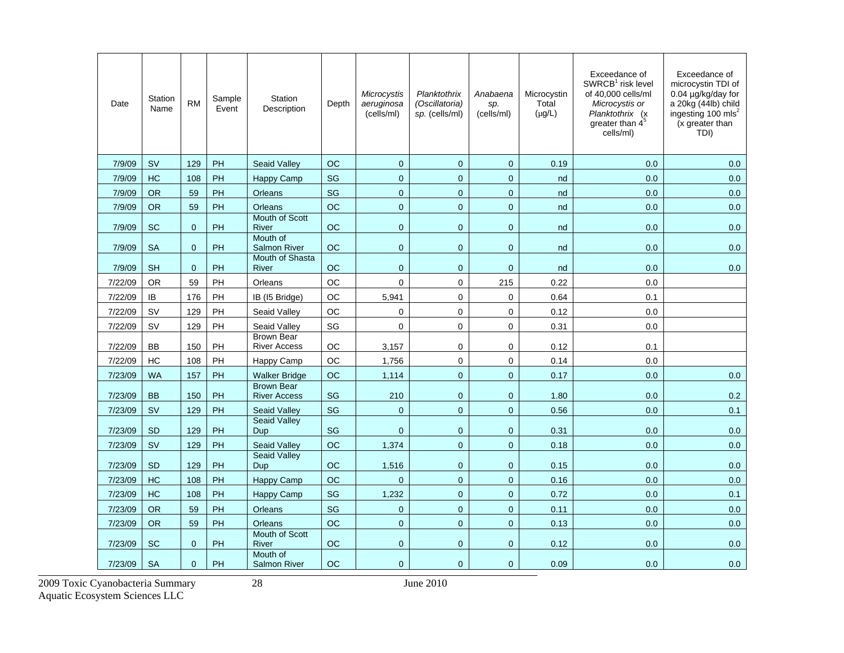| Date    | Station<br>Name | <b>RM</b>      | Sample<br>Event | <b>Station</b><br>Description            | Depth     | Microcystis<br>aeruginosa<br>(cells/ml) | Planktothrix<br>(Oscillatoria)<br>sp. (cells/ml) | Anabaena<br>sp.<br>(cells/ml) | Microcystin<br>Total<br>$(\mu g/L)$ | Exceedance of<br>SWRCB <sup>1</sup> risk level<br>of 40,000 cells/ml<br>Microcystis or<br>Planktothrix (x<br>greater than $4^5$<br>cells/ml) | Exceedance of<br>microcystin TDI of<br>0.04 µg/kg/day for<br>a 20kg (44lb) child<br>ingesting 100 mls <sup>2</sup><br>(x greater than<br>TDI) |
|---------|-----------------|----------------|-----------------|------------------------------------------|-----------|-----------------------------------------|--------------------------------------------------|-------------------------------|-------------------------------------|----------------------------------------------------------------------------------------------------------------------------------------------|-----------------------------------------------------------------------------------------------------------------------------------------------|
| 7/9/09  | <b>SV</b>       | 129            | PH              | <b>Seaid Valley</b>                      | <b>OC</b> | $\overline{0}$                          | $\mathbf 0$                                      | $\overline{0}$                | 0.19                                | 0.0                                                                                                                                          | 0.0                                                                                                                                           |
| 7/9/09  | HC              | 108            | PH              | Happy Camp                               | SG        | $\pmb{0}$                               | $\boldsymbol{0}$                                 | $\pmb{0}$                     | nd                                  | 0.0                                                                                                                                          | 0.0                                                                                                                                           |
| 7/9/09  | <b>OR</b>       | 59             | PH              | Orleans                                  | <b>SG</b> | $\overline{0}$                          | $\overline{0}$                                   | $\mathbf{0}$                  | nd                                  | 0.0                                                                                                                                          | 0.0                                                                                                                                           |
| 7/9/09  | <b>OR</b>       | 59             | PH              | Orleans                                  | <b>OC</b> | $\overline{0}$                          | $\overline{0}$                                   | $\overline{0}$                | nd                                  | 0.0                                                                                                                                          | 0.0                                                                                                                                           |
| 7/9/09  | <b>SC</b>       | $\mathbf{0}$   | PH              | <b>Mouth of Scott</b><br>River           | <b>OC</b> | $\mathbf{0}$                            | $\overline{0}$                                   | $\mathbf{0}$                  | nd                                  | 0.0                                                                                                                                          | 0.0                                                                                                                                           |
| 7/9/09  | <b>SA</b>       | $\overline{0}$ | PH              | Mouth of<br><b>Salmon River</b>          | OC        | $\mathbf{0}$                            | 0                                                | $\mathbf{0}$                  | nd                                  | 0.0                                                                                                                                          | 0.0                                                                                                                                           |
| 7/9/09  | <b>SH</b>       | $\mathbf{0}$   | PH              | Mouth of Shasta<br>River                 | OC        | $\mathbf 0$                             | $\mathbf 0$                                      | $\mathbf{0}$                  | nd                                  | 0.0                                                                                                                                          | 0.0                                                                                                                                           |
| 7/22/09 | <b>OR</b>       | 59             | PH              | Orleans                                  | <b>OC</b> | $\mathbf 0$                             | 0                                                | 215                           | 0.22                                | 0.0                                                                                                                                          |                                                                                                                                               |
| 7/22/09 | IB              | 176            | PH              | IB (I5 Bridge)                           | OC        | 5,941                                   | 0                                                | $\mathbf 0$                   | 0.64                                | 0.1                                                                                                                                          |                                                                                                                                               |
| 7/22/09 | <b>SV</b>       | 129            | PH              | Seaid Valley                             | <b>OC</b> | $\mathbf 0$                             | $\mathbf{0}$                                     | $\mathbf 0$                   | 0.12                                | 0.0                                                                                                                                          |                                                                                                                                               |
| 7/22/09 | <b>SV</b>       | 129            | PH              | Seaid Valley                             | SG        | $\mathbf 0$                             | $\pmb{0}$                                        | $\mathbf 0$                   | 0.31                                | 0.0                                                                                                                                          |                                                                                                                                               |
| 7/22/09 | <b>BB</b>       | 150            | PH              | <b>Brown Bear</b><br><b>River Access</b> | OC        | 3,157                                   | 0                                                | $\mathbf 0$                   | 0.12                                | 0.1                                                                                                                                          |                                                                                                                                               |
| 7/22/09 | HC              | 108            | PH              | Happy Camp                               | OC        | 1,756                                   | $\pmb{0}$                                        | $\pmb{0}$                     | 0.14                                | 0.0                                                                                                                                          |                                                                                                                                               |
| 7/23/09 | <b>WA</b>       | 157            | PH              | <b>Walker Bridge</b>                     | ОC        | 1,114                                   | 0                                                | $\mathbf{0}$                  | 0.17                                | 0.0                                                                                                                                          | 0.0                                                                                                                                           |
| 7/23/09 | <b>BB</b>       | 150            | PH              | <b>Brown Bear</b><br><b>River Access</b> | <b>SG</b> | 210                                     | $\mathbf 0$                                      | $\mathbf 0$                   | 1.80                                | 0.0                                                                                                                                          | 0.2                                                                                                                                           |
| 7/23/09 | <b>SV</b>       | 129            | PH              | <b>Seaid Valley</b>                      | SG        | $\overline{0}$                          | 0                                                | $\overline{0}$                | 0.56                                | 0.0                                                                                                                                          | 0.1                                                                                                                                           |
| 7/23/09 | <b>SD</b>       | 129            | PH              | <b>Seaid Valley</b><br>Dup               | SG        | $\mathbf 0$                             | $\mathbf 0$                                      | $\mathbf 0$                   | 0.31                                | 0.0                                                                                                                                          | 0.0                                                                                                                                           |
| 7/23/09 | <b>SV</b>       | 129            | PH              | <b>Seaid Valley</b>                      | OC        | 1,374                                   | $\overline{0}$                                   | $\overline{0}$                | 0.18                                | 0.0                                                                                                                                          | 0.0                                                                                                                                           |
| 7/23/09 | <b>SD</b>       | 129            | PH              | <b>Seaid Valley</b><br>Dup               | OC        | 1,516                                   | $\mathbf 0$                                      | $\mathbf 0$                   | 0.15                                | 0.0                                                                                                                                          | 0.0                                                                                                                                           |
| 7/23/09 | HC              | 108            | PH              | Happy Camp                               | ОC        | $\overline{0}$                          | 0                                                | $\overline{0}$                | 0.16                                | 0.0                                                                                                                                          | 0.0                                                                                                                                           |
| 7/23/09 | <b>HC</b>       | 108            | PH              | <b>Happy Camp</b>                        | SG        | 1,232                                   | $\overline{0}$                                   | $\overline{0}$                | 0.72                                | 0.0                                                                                                                                          | 0.1                                                                                                                                           |
| 7/23/09 | <b>OR</b>       | 59             | PH              | Orleans                                  | SG        | $\mathbf 0$                             | $\overline{0}$                                   | $\mathbf{0}$                  | 0.11                                | 0.0                                                                                                                                          | 0.0                                                                                                                                           |
| 7/23/09 | <b>OR</b>       | 59             | PH              | Orleans                                  | <b>OC</b> | $\overline{0}$                          | $\overline{0}$                                   | $\mathbf{0}$                  | 0.13                                | 0.0                                                                                                                                          | 0.0                                                                                                                                           |
| 7/23/09 | <b>SC</b>       | $\mathbf 0$    | <b>PH</b>       | Mouth of Scott<br>River                  | ОC        | $\mathbf 0$                             | $\overline{0}$                                   | $\mathbf 0$                   | 0.12                                | 0.0                                                                                                                                          | 0.0                                                                                                                                           |
| 7/23/09 | <b>SA</b>       | $\Omega$       | PH              | Mouth of<br><b>Salmon River</b>          | ОC        | $\mathbf{0}$                            | $\overline{0}$                                   | $\mathbf{0}$                  | 0.09                                | 0.0                                                                                                                                          | 0.0                                                                                                                                           |

2009 Toxic Cyanobacteria Summary 28 June 2010

Aquatic Ecosystem Sciences LLC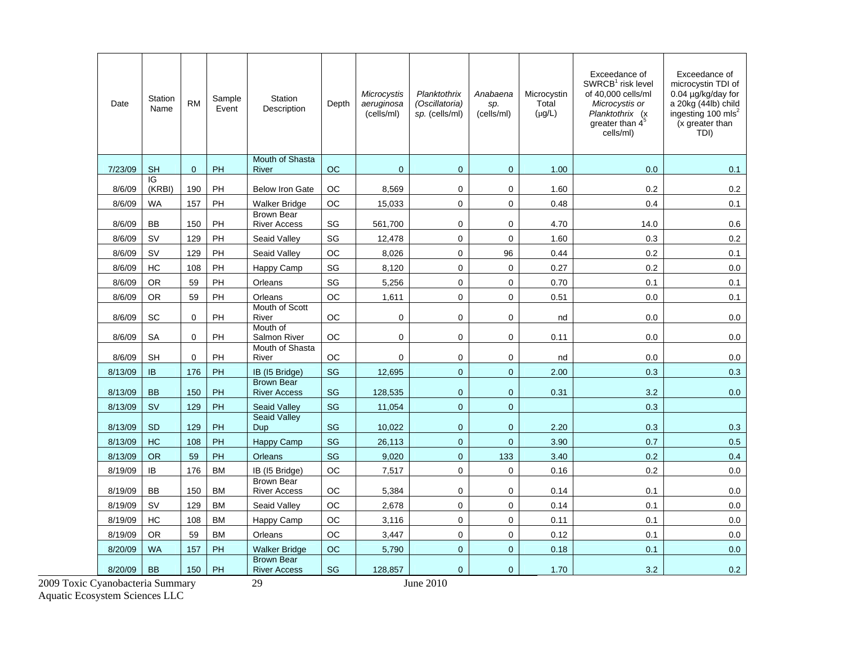| Date    | Station<br>Name | <b>RM</b>   | Sample<br>Event | Station<br>Description                   | Depth     | Microcystis<br>aeruginosa<br>(cells/ml) | Planktothrix<br>(Oscillatoria)<br>sp. (cells/ml) | Anabaena<br>sp.<br>(cells/ml) | Microcystin<br>Total<br>$(\mu g/L)$ | Exceedance of<br>SWRCB <sup>1</sup> risk level<br>of 40.000 cells/ml<br>Microcystis or<br>Planktothrix (x<br>greater than $4^{\circ}$<br>cells/ml) | Exceedance of<br>microcystin TDI of<br>0.04 µg/kg/day for<br>a 20kg (44lb) child<br>ingesting 100 mls <sup>2</sup><br>(x greater than<br>TDI) |
|---------|-----------------|-------------|-----------------|------------------------------------------|-----------|-----------------------------------------|--------------------------------------------------|-------------------------------|-------------------------------------|----------------------------------------------------------------------------------------------------------------------------------------------------|-----------------------------------------------------------------------------------------------------------------------------------------------|
| 7/23/09 | <b>SH</b>       | $\mathbf 0$ | <b>PH</b>       | <b>Mouth of Shasta</b><br>River          | <b>OC</b> | $\mathbf{0}$                            | 0                                                | $\mathbf{0}$                  | 1.00                                | 0.0                                                                                                                                                | 0.1                                                                                                                                           |
| 8/6/09  | IG<br>(KRBI)    | 190         | PH              | <b>Below Iron Gate</b>                   | ОC        | 8,569                                   | 0                                                | $\mathbf 0$                   | 1.60                                | 0.2                                                                                                                                                | 0.2                                                                                                                                           |
| 8/6/09  | <b>WA</b>       | 157         | PH              | <b>Walker Bridge</b>                     | ОC        | 15,033                                  | 0                                                | $\mathbf 0$                   | 0.48                                | 0.4                                                                                                                                                | 0.1                                                                                                                                           |
| 8/6/09  | <b>BB</b>       | 150         | PH              | <b>Brown Bear</b><br><b>River Access</b> | SG        | 561.700                                 | 0                                                | $\mathbf 0$                   | 4.70                                | 14.0                                                                                                                                               | 0.6                                                                                                                                           |
| 8/6/09  | SV              | 129         | PH              | Seaid Valley                             | SG        | 12,478                                  | 0                                                | $\mathbf 0$                   | 1.60                                | 0.3                                                                                                                                                | 0.2                                                                                                                                           |
| 8/6/09  | <b>SV</b>       | 129         | PH              | Seaid Valley                             | ОC        | 8,026                                   | 0                                                | 96                            | 0.44                                | 0.2                                                                                                                                                | 0.1                                                                                                                                           |
| 8/6/09  | HC              | 108         | PH              | Happy Camp                               | SG        | 8,120                                   | 0                                                | $\mathbf 0$                   | 0.27                                | 0.2                                                                                                                                                | 0.0                                                                                                                                           |
| 8/6/09  | <b>OR</b>       | 59          | PH              | Orleans                                  | SG        | 5,256                                   | 0                                                | $\mathbf 0$                   | 0.70                                | 0.1                                                                                                                                                | 0.1                                                                                                                                           |
| 8/6/09  | <b>OR</b>       | 59          | PH              | Orleans                                  | OC        | 1,611                                   | 0                                                | $\mathbf 0$                   | 0.51                                | 0.0                                                                                                                                                | 0.1                                                                                                                                           |
| 8/6/09  | <b>SC</b>       | $\mathbf 0$ | PH              | Mouth of Scott<br>River                  | ОC        | $\pmb{0}$                               | 0                                                | $\mathbf 0$                   | nd                                  | 0.0                                                                                                                                                | 0.0                                                                                                                                           |
| 8/6/09  | <b>SA</b>       | $\Omega$    | PH              | Mouth of<br>Salmon River                 | OС        | 0                                       | 0                                                | 0                             | 0.11                                | 0.0                                                                                                                                                | 0.0                                                                                                                                           |
| 8/6/09  | <b>SH</b>       | $\Omega$    | PH              | Mouth of Shasta<br>River                 | <b>OC</b> | $\mathbf 0$                             | 0                                                | $\mathbf 0$                   | nd                                  | 0.0                                                                                                                                                | 0.0                                                                                                                                           |
| 8/13/09 | IB.             | 176         | <b>PH</b>       | IB (15 Bridge)                           | SG        | 12,695                                  | $\overline{0}$                                   | $\mathbf{0}$                  | 2.00                                | 0.3                                                                                                                                                | 0.3                                                                                                                                           |
| 8/13/09 | <b>BB</b>       | 150         | <b>PH</b>       | <b>Brown Bear</b><br><b>River Access</b> | SG        | 128,535                                 | $\mathbf 0$                                      | $\mathbf{0}$                  | 0.31                                | 3.2                                                                                                                                                | 0.0                                                                                                                                           |
| 8/13/09 | <b>SV</b>       | 129         | PH              | <b>Seaid Valley</b>                      | SG        | 11,054                                  | $\overline{0}$                                   | $\mathbf{0}$                  |                                     | 0.3                                                                                                                                                |                                                                                                                                               |
| 8/13/09 | <b>SD</b>       | 129         | <b>PH</b>       | <b>Seaid Valley</b><br>Dup               | <b>SG</b> | 10,022                                  | $\overline{0}$                                   | $\mathbf{0}$                  | 2.20                                | 0.3                                                                                                                                                | 0.3                                                                                                                                           |
| 8/13/09 | HC              | 108         | PH              | <b>Happy Camp</b>                        | SG        | 26,113                                  | $\mathbf 0$                                      | $\mathbf{0}$                  | 3.90                                | 0.7                                                                                                                                                | 0.5                                                                                                                                           |
| 8/13/09 | <b>OR</b>       | 59          | PH              | Orleans                                  | SG        | 9,020                                   | $\overline{0}$                                   | 133                           | 3.40                                | 0.2                                                                                                                                                | 0.4                                                                                                                                           |
| 8/19/09 | IB              | 176         | <b>BM</b>       | IB (15 Bridge)                           | OC        | 7,517                                   | 0                                                | $\mathbf 0$                   | 0.16                                | 0.2                                                                                                                                                | 0.0                                                                                                                                           |
| 8/19/09 | <b>BB</b>       | 150         | <b>BM</b>       | <b>Brown Bear</b><br><b>River Access</b> | ОC        | 5,384                                   | 0                                                | $\mathbf 0$                   | 0.14                                | 0.1                                                                                                                                                | 0.0                                                                                                                                           |
| 8/19/09 | <b>SV</b>       | 129         | <b>BM</b>       | Seaid Valley                             | OC        | 2,678                                   | 0                                                | $\mathbf 0$                   | 0.14                                | 0.1                                                                                                                                                | 0.0                                                                                                                                           |
| 8/19/09 | HC              | 108         | <b>BM</b>       | Happy Camp                               | <b>OC</b> | 3,116                                   | 0                                                | 0                             | 0.11                                | 0.1                                                                                                                                                | 0.0                                                                                                                                           |
| 8/19/09 | <b>OR</b>       | 59          | <b>BM</b>       | Orleans                                  | ОC        | 3,447                                   | 0                                                | 0                             | 0.12                                | 0.1                                                                                                                                                | 0.0                                                                                                                                           |
| 8/20/09 | <b>WA</b>       | 157         | PH              | <b>Walker Bridge</b>                     | <b>OC</b> | 5,790                                   | $\overline{0}$                                   | $\mathbf 0$                   | 0.18                                | 0.1                                                                                                                                                | 0.0                                                                                                                                           |
| 8/20/09 | <b>BB</b>       | 150         | <b>PH</b>       | <b>Brown Bear</b><br><b>River Access</b> | SG        | 128,857                                 | $\overline{0}$                                   | $\mathbf{0}$                  | 1.70                                | 3.2                                                                                                                                                | 0.2                                                                                                                                           |

2009 Toxic Cyanobacteria Summary 29 June 2010 Aquatic Ecosystem Sciences LLC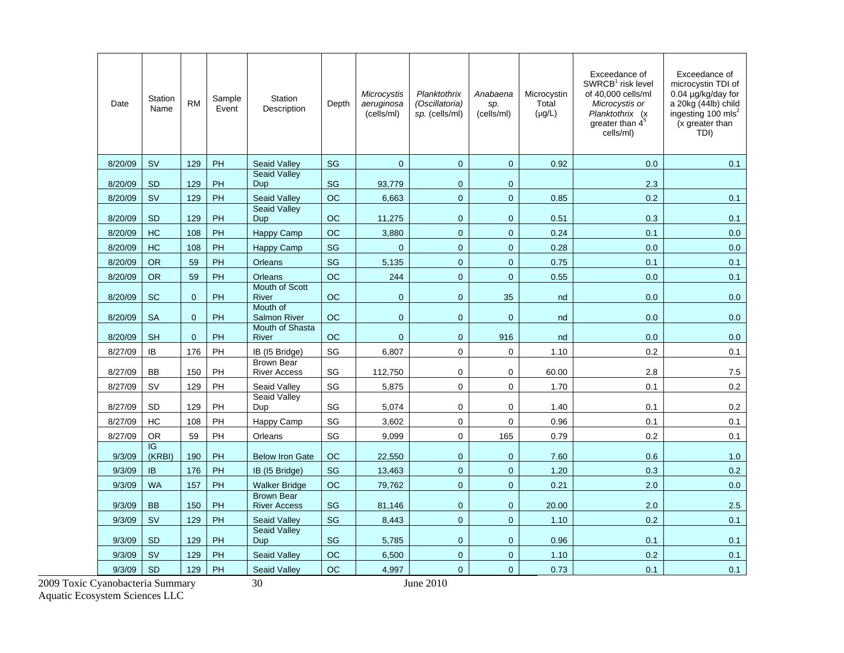| Date    | Station<br>Name | <b>RM</b>    | Sample<br>Event | <b>Station</b><br>Description            | Depth     | Microcystis<br>aeruginosa<br>(cells/ml) | Planktothrix<br>(Oscillatoria)<br>sp. (cells/ml) | Anabaena<br>sp.<br>(cells/ml) | Microcystin<br>Total<br>$(\mu g/L)$ | Exceedance of<br>SWRCB <sup>1</sup> risk level<br>of 40.000 cells/ml<br>Microcystis or<br>Planktothrix (x<br>greater than $4^5$<br>cells/ml) | Exceedance of<br>microcystin TDI of<br>0.04 µg/kg/day for<br>a 20kg (44lb) child<br>ingesting 100 mls <sup>2</sup><br>(x greater than<br>TDI) |
|---------|-----------------|--------------|-----------------|------------------------------------------|-----------|-----------------------------------------|--------------------------------------------------|-------------------------------|-------------------------------------|----------------------------------------------------------------------------------------------------------------------------------------------|-----------------------------------------------------------------------------------------------------------------------------------------------|
| 8/20/09 | <b>SV</b>       | 129          | PH              | <b>Seaid Valley</b>                      | <b>SG</b> | $\overline{0}$                          | $\overline{0}$                                   | $\mathbf 0$                   | 0.92                                | 0.0                                                                                                                                          | 0.1                                                                                                                                           |
| 8/20/09 | <b>SD</b>       | 129          | PH              | <b>Seaid Valley</b><br>Dup               | <b>SG</b> | 93.779                                  | $\overline{0}$                                   | $\mathbf{0}$                  |                                     | 2.3                                                                                                                                          |                                                                                                                                               |
| 8/20/09 | <b>SV</b>       | 129          | PH              | Seaid Valley                             | OC        | 6,663                                   | $\overline{0}$                                   | $\mathbf{0}$                  | 0.85                                | 0.2                                                                                                                                          | 0.1                                                                                                                                           |
| 8/20/09 | <b>SD</b>       | 129          | PH              | <b>Seaid Valley</b><br>Dup               | <b>OC</b> | 11,275                                  | $\overline{0}$                                   | $\mathbf{0}$                  | 0.51                                | 0.3                                                                                                                                          | 0.1                                                                                                                                           |
| 8/20/09 | <b>HC</b>       | 108          | <b>PH</b>       | Happy Camp                               | OC        | 3,880                                   | $\overline{0}$                                   | $\mathbf 0$                   | 0.24                                | 0.1                                                                                                                                          | 0.0                                                                                                                                           |
| 8/20/09 | HC              | 108          | PH              | <b>Happy Camp</b>                        | <b>SG</b> | $\mathbf 0$                             | $\overline{0}$                                   | $\mathbf 0$                   | 0.28                                | 0.0                                                                                                                                          | 0.0                                                                                                                                           |
| 8/20/09 | <b>OR</b>       | 59           | PH              | Orleans                                  | <b>SG</b> | 5,135                                   | $\mathbf 0$                                      | $\mathbf 0$                   | 0.75                                | 0.1                                                                                                                                          | 0.1                                                                                                                                           |
| 8/20/09 | <b>OR</b>       | 59           | PH              | Orleans                                  | <b>OC</b> | 244                                     | $\overline{0}$                                   | $\overline{0}$                | 0.55                                | 0.0                                                                                                                                          | 0.1                                                                                                                                           |
| 8/20/09 | <b>SC</b>       | $\mathbf 0$  | PH              | Mouth of Scott<br>River                  | ОC        | $\mathbf{0}$                            | 0                                                | 35                            | nd                                  | 0.0                                                                                                                                          | 0.0                                                                                                                                           |
| 8/20/09 | <b>SA</b>       | $\mathbf{0}$ | <b>PH</b>       | Mouth of<br><b>Salmon River</b>          | <b>OC</b> | $\overline{0}$                          | $\overline{0}$                                   | $\mathbf{0}$                  | nd                                  | 0.0                                                                                                                                          | 0.0                                                                                                                                           |
| 8/20/09 | <b>SH</b>       | $\Omega$     | <b>PH</b>       | Mouth of Shasta<br>River                 | OC        | $\mathbf 0$                             | 0                                                | 916                           | nd                                  | 0.0                                                                                                                                          | 0.0                                                                                                                                           |
| 8/27/09 | IB              | 176          | PH              | IB (I5 Bridge)                           | SG        | 6,807                                   | 0                                                | $\mathbf 0$                   | 1.10                                | 0.2                                                                                                                                          | 0.1                                                                                                                                           |
| 8/27/09 | <b>BB</b>       | 150          | PH              | <b>Brown Bear</b><br><b>River Access</b> | SG        | 112,750                                 | 0                                                | $\mathbf 0$                   | 60.00                               | 2.8                                                                                                                                          | 7.5                                                                                                                                           |
| 8/27/09 | <b>SV</b>       | 129          | PH              | Seaid Valley                             | SG        | 5,875                                   | 0                                                | $\mathbf 0$                   | 1.70                                | 0.1                                                                                                                                          | 0.2                                                                                                                                           |
| 8/27/09 | <b>SD</b>       | 129          | PH              | Seaid Valley<br>Dup                      | SG        | 5,074                                   | $\mathbf 0$                                      | $\mathbf 0$                   | 1.40                                | 0.1                                                                                                                                          | 0.2                                                                                                                                           |
| 8/27/09 | HC              | 108          | PH              | Happy Camp                               | SG        | 3,602                                   | $\mathbf 0$                                      | $\mathbf 0$                   | 0.96                                | 0.1                                                                                                                                          | 0.1                                                                                                                                           |
| 8/27/09 | <b>OR</b>       | 59           | PH              | Orleans                                  | SG        | 9.099                                   | 0                                                | 165                           | 0.79                                | 0.2                                                                                                                                          | 0.1                                                                                                                                           |
| 9/3/09  | IG<br>(KRBI)    | 190          | PH              | <b>Below Iron Gate</b>                   | ОC        | 22,550                                  | $\overline{0}$                                   | $\mathbf{0}$                  | 7.60                                | 0.6                                                                                                                                          | 1.0                                                                                                                                           |
| 9/3/09  | <b>IB</b>       | 176          | PH              | IB (I5 Bridge)                           | SG        | 13,463                                  | $\overline{0}$                                   | $\overline{0}$                | 1.20                                | 0.3                                                                                                                                          | 0.2                                                                                                                                           |
| 9/3/09  | <b>WA</b>       | 157          | PH              | <b>Walker Bridge</b>                     | <b>OC</b> | 79,762                                  | $\overline{0}$                                   | $\mathbf{0}$                  | 0.21                                | 2.0                                                                                                                                          | 0.0                                                                                                                                           |
| 9/3/09  | <b>BB</b>       | 150          | PH              | <b>Brown Bear</b><br><b>River Access</b> | <b>SG</b> | 81,146                                  | $\overline{0}$                                   | $\mathbf 0$                   | 20.00                               | 2.0                                                                                                                                          | 2.5                                                                                                                                           |
| 9/3/09  | <b>SV</b>       | 129          | <b>PH</b>       | <b>Seaid Valley</b>                      | <b>SG</b> | 8,443                                   | $\overline{0}$                                   | $\mathbf{0}$                  | 1.10                                | 0.2                                                                                                                                          | 0.1                                                                                                                                           |
| 9/3/09  | <b>SD</b>       | 129          | PH              | <b>Seaid Valley</b><br>Dup               | <b>SG</b> | 5,785                                   | $\mathbf{0}$                                     | $\mathbf{0}$                  | 0.96                                | 0.1                                                                                                                                          | 0.1                                                                                                                                           |
| 9/3/09  | <b>SV</b>       | 129          | PH              | <b>Seaid Valley</b>                      | OC        | 6,500                                   | 0                                                | $\mathbf 0$                   | 1.10                                | 0.2                                                                                                                                          | 0.1                                                                                                                                           |
| 9/3/09  | <b>SD</b>       | 129          | PH              | <b>Seaid Valley</b>                      | <b>OC</b> | 4,997                                   | $\overline{0}$                                   | $\mathbf 0$                   | 0.73                                | 0.1                                                                                                                                          | 0.1                                                                                                                                           |

2009 Toxic Cyanobacteria Summary 30 June 2010 Aquatic Ecosystem Sciences LLC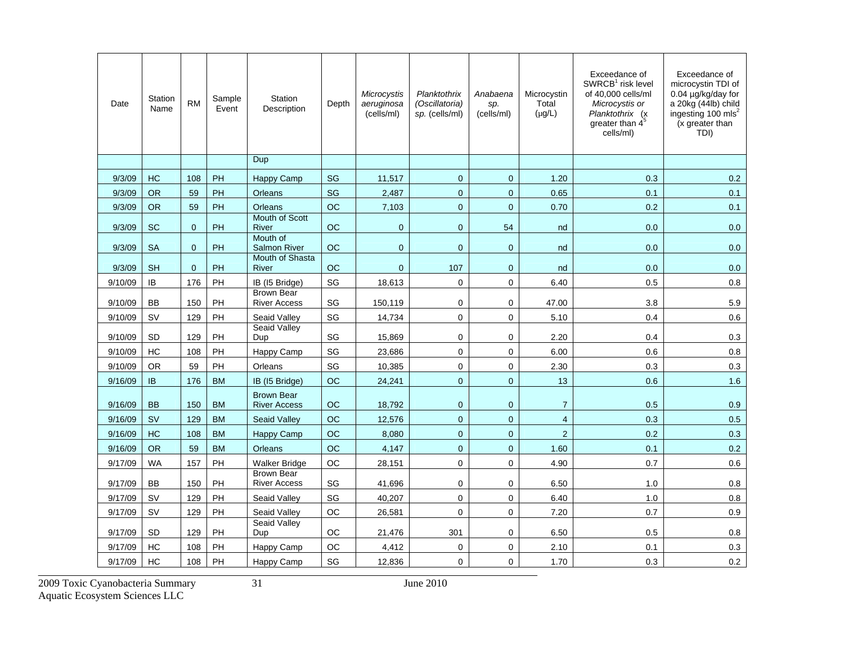| Date    | Station<br>Name | <b>RM</b>    | Sample<br>Event | Station<br>Description                   | Depth     | Microcystis<br>aeruginosa<br>(cells/ml) | Planktothrix<br>(Oscillatoria)<br>sp. (cells/ml) | Anabaena<br>sp.<br>(cells/ml) | Microcystin<br>Total<br>$(\mu g/L)$ | Exceedance of<br>$SWRCB1$ risk level<br>of 40,000 cells/ml<br>Microcystis or<br>Planktothrix (x<br>greater than 4 <sup>5</sup><br>cells/ml) | Exceedance of<br>microcystin TDI of<br>0.04 µg/kg/day for<br>a 20kg (44lb) child<br>ingesting 100 mls <sup>2</sup><br>(x greater than<br>TDI) |
|---------|-----------------|--------------|-----------------|------------------------------------------|-----------|-----------------------------------------|--------------------------------------------------|-------------------------------|-------------------------------------|---------------------------------------------------------------------------------------------------------------------------------------------|-----------------------------------------------------------------------------------------------------------------------------------------------|
|         |                 |              |                 | Dup                                      |           |                                         |                                                  |                               |                                     |                                                                                                                                             |                                                                                                                                               |
| 9/3/09  | HC              | 108          | PH              | Happy Camp                               | SG        | 11,517                                  | $\mathbf 0$                                      | $\mathbf 0$                   | 1.20                                | 0.3                                                                                                                                         | 0.2                                                                                                                                           |
| 9/3/09  | <b>OR</b>       | 59           | PH              | <b>Orleans</b>                           | <b>SG</b> | 2,487                                   | $\overline{0}$                                   | $\mathbf 0$                   | 0.65                                | 0.1                                                                                                                                         | 0.1                                                                                                                                           |
| 9/3/09  | <b>OR</b>       | 59           | PH              | Orleans                                  | <b>OC</b> | 7,103                                   | $\overline{0}$                                   | $\Omega$                      | 0.70                                | 0.2                                                                                                                                         | 0.1                                                                                                                                           |
| 9/3/09  | <b>SC</b>       | $\mathbf{0}$ | PH              | Mouth of Scott<br>River                  | <b>OC</b> | $\mathbf 0$                             | 0                                                | 54                            | nd                                  | 0.0                                                                                                                                         | 0.0                                                                                                                                           |
| 9/3/09  | <b>SA</b>       | $\mathbf{0}$ | PH              | Mouth of<br><b>Salmon River</b>          | OC        | $\mathbf 0$                             | $\mathbf 0$                                      | $\mathbf 0$                   | nd                                  | 0.0                                                                                                                                         | 0.0                                                                                                                                           |
| 9/3/09  | <b>SH</b>       | $\Omega$     | <b>PH</b>       | Mouth of Shasta<br>River                 | <b>OC</b> | $\Omega$                                | 107                                              | $\mathbf{0}$                  | nd                                  | 0.0                                                                                                                                         | 0.0                                                                                                                                           |
| 9/10/09 | IB              | 176          | PH              | IB (15 Bridge)                           | SG        | 18,613                                  | $\mathbf 0$                                      | $\mathbf 0$                   | 6.40                                | 0.5                                                                                                                                         | 0.8                                                                                                                                           |
| 9/10/09 | <b>BB</b>       | 150          | PH              | <b>Brown Bear</b><br><b>River Access</b> | SG        | 150,119                                 | $\mathbf 0$                                      | $\mathbf 0$                   | 47.00                               | 3.8                                                                                                                                         | 5.9                                                                                                                                           |
| 9/10/09 | SV              | 129          | PH              | Seaid Valley                             | SG        | 14,734                                  | $\pmb{0}$                                        | $\mathbf 0$                   | 5.10                                | 0.4                                                                                                                                         | 0.6                                                                                                                                           |
| 9/10/09 | <b>SD</b>       | 129          | PH              | Seaid Valley<br>Dup                      | SG        | 15,869                                  | $\Omega$                                         | $\Omega$                      | 2.20                                | 0.4                                                                                                                                         | 0.3                                                                                                                                           |
| 9/10/09 | НC              | 108          | PH              | Happy Camp                               | SG        | 23,686                                  | $\mathbf 0$                                      | $\mathbf 0$                   | 6.00                                | 0.6                                                                                                                                         | 0.8                                                                                                                                           |
| 9/10/09 | <b>OR</b>       | 59           | PH              | Orleans                                  | SG        | 10,385                                  | $\mathbf 0$                                      | $\Omega$                      | 2.30                                | 0.3                                                                                                                                         | 0.3                                                                                                                                           |
| 9/16/09 | IB.             | 176          | <b>BM</b>       | IB (15 Bridge)                           | <b>OC</b> | 24,241                                  | $\boldsymbol{0}$                                 | $\mathbf{0}$                  | 13                                  | 0.6                                                                                                                                         | 1.6                                                                                                                                           |
|         |                 |              |                 | <b>Brown Bear</b>                        |           |                                         |                                                  |                               |                                     |                                                                                                                                             |                                                                                                                                               |
| 9/16/09 | <b>BB</b>       | 150          | <b>BM</b>       | <b>River Access</b>                      | <b>OC</b> | 18,792                                  | $\mathbf{0}$                                     | $\mathbf{0}$                  | $\overline{7}$                      | 0.5                                                                                                                                         | 0.9                                                                                                                                           |
| 9/16/09 | <b>SV</b>       | 129          | <b>BM</b>       | <b>Seaid Valley</b>                      | OC        | 12,576                                  | $\mathbf 0$                                      | $\overline{0}$                | $\overline{4}$                      | 0.3                                                                                                                                         | 0.5                                                                                                                                           |
| 9/16/09 | <b>HC</b>       | 108          | <b>BM</b>       | Happy Camp                               | <b>OC</b> | 8,080                                   | $\Omega$                                         | $\Omega$                      | $\overline{2}$                      | 0.2                                                                                                                                         | 0.3                                                                                                                                           |
| 9/16/09 | <b>OR</b>       | 59           | <b>BM</b>       | <b>Orleans</b>                           | <b>OC</b> | 4,147                                   | $\pmb{0}$                                        | $\mathbf{0}$                  | 1.60                                | 0.1                                                                                                                                         | 0.2                                                                                                                                           |
| 9/17/09 | <b>WA</b>       | 157          | PH              | <b>Walker Bridge</b>                     | ОC        | 28,151                                  | 0                                                | $\mathbf 0$                   | 4.90                                | 0.7                                                                                                                                         | 0.6                                                                                                                                           |
| 9/17/09 | ВB              | 150          | PH              | <b>Brown Bear</b><br><b>River Access</b> | SG        | 41,696                                  | $\mathbf 0$                                      | 0                             | 6.50                                | 1.0                                                                                                                                         | 0.8                                                                                                                                           |
| 9/17/09 | <b>SV</b>       | 129          | PH              | Seaid Vallev                             | SG        | 40.207                                  | $\overline{0}$                                   | $\Omega$                      | 6.40                                | 1.0                                                                                                                                         | 0.8                                                                                                                                           |
| 9/17/09 | <b>SV</b>       | 129          | PH              | Seaid Valley                             | ОC        | 26,581                                  | 0                                                | $\mathbf 0$                   | 7.20                                | 0.7                                                                                                                                         | 0.9                                                                                                                                           |
| 9/17/09 | <b>SD</b>       | 129          | PH              | Seaid Valley<br>Dup                      | ОC        | 21,476                                  | 301                                              | $\mathbf 0$                   | 6.50                                | 0.5                                                                                                                                         | 0.8                                                                                                                                           |
| 9/17/09 | HC              | 108          | PH              | Happy Camp                               | OC        | 4,412                                   | $\mathbf 0$                                      | $\mathbf 0$                   | 2.10                                | 0.1                                                                                                                                         | 0.3                                                                                                                                           |
| 9/17/09 | <b>HC</b>       | 108          | PH              | Happy Camp                               | SG        | 12,836                                  | $\mathbf 0$                                      | $\Omega$                      | 1.70                                | 0.3                                                                                                                                         | 0.2                                                                                                                                           |

2009 Toxic Cyanobacteria Summary 31 June 2010

Aquatic Ecosystem Sciences LLC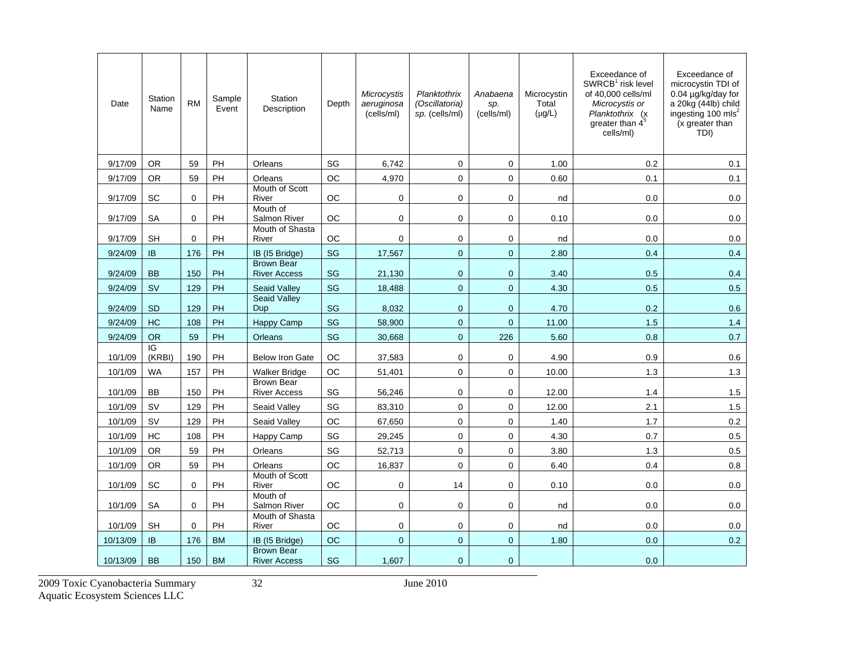| Date     | <b>Station</b><br>Name   | <b>RM</b>   | Sample<br>Event | <b>Station</b><br>Description            | Depth     | Microcystis<br>aeruginosa<br>(cells/ml) | Planktothrix<br>(Oscillatoria)<br>sp. (cells/ml) | Anabaena<br>sp.<br>(cells/ml) | Microcystin<br>Total<br>$(\mu g/L)$ | Exceedance of<br>SWRCB <sup>1</sup> risk level<br>of 40,000 cells/ml<br>Microcystis or<br>Planktothrix (x<br>greater than $4^5$<br>cells/ml) | Exceedance of<br>microcystin TDI of<br>0.04 µg/kg/day for<br>a 20kg (44lb) child<br>ingesting 100 mls <sup>2</sup><br>(x greater than<br>TDI) |
|----------|--------------------------|-------------|-----------------|------------------------------------------|-----------|-----------------------------------------|--------------------------------------------------|-------------------------------|-------------------------------------|----------------------------------------------------------------------------------------------------------------------------------------------|-----------------------------------------------------------------------------------------------------------------------------------------------|
| 9/17/09  | <b>OR</b>                | 59          | <b>PH</b>       | Orleans                                  | SG        | 6,742                                   | $\mathbf 0$                                      | $\mathbf 0$                   | 1.00                                | 0.2                                                                                                                                          | 0.1                                                                                                                                           |
| 9/17/09  | <b>OR</b>                | 59          | PH              | Orleans                                  | OC        | 4,970                                   | $\mathbf{0}$                                     | $\mathbf 0$                   | 0.60                                | 0.1                                                                                                                                          | 0.1                                                                                                                                           |
| 9/17/09  | <b>SC</b>                | $\mathbf 0$ | PH              | Mouth of Scott<br>River                  | OC        | $\mathbf 0$                             | 0                                                | $\mathbf 0$                   | nd                                  | 0.0                                                                                                                                          | 0.0                                                                                                                                           |
| 9/17/09  | <b>SA</b>                | $\Omega$    | PH              | Mouth of<br>Salmon River                 | OC.       | $\mathbf 0$                             | $\mathbf 0$                                      | $\mathbf 0$                   | 0.10                                | 0.0                                                                                                                                          | 0.0                                                                                                                                           |
| 9/17/09  | <b>SH</b>                | $\Omega$    | PH              | Mouth of Shasta<br>River                 | OC        | $\mathbf 0$                             | $\mathbf 0$                                      | $\mathbf 0$                   | nd                                  | 0.0                                                                                                                                          | 0.0                                                                                                                                           |
| 9/24/09  | <b>IB</b>                | 176         | PH              | IB (I5 Bridge)                           | SG        | 17,567                                  | $\mathbf{0}$                                     | $\overline{0}$                | 2.80                                | 0.4                                                                                                                                          | 0.4                                                                                                                                           |
| 9/24/09  | <b>BB</b>                | 150         | PH              | <b>Brown Bear</b><br><b>River Access</b> | SG        | 21,130                                  | $\mathbf{0}$                                     | $\mathbf{0}$                  | 3.40                                | 0.5                                                                                                                                          | 0.4                                                                                                                                           |
| 9/24/09  | <b>SV</b>                | 129         | PH              | Seaid Valley                             | SG        | 18,488                                  | $\mathbf 0$                                      | $\mathbf{0}$                  | 4.30                                | 0.5                                                                                                                                          | 0.5                                                                                                                                           |
| 9/24/09  | <b>SD</b>                | 129         | PH              | <b>Seaid Valley</b><br>Dup               | <b>SG</b> | 8,032                                   | $\mathbf{0}$                                     | $\mathbf{0}$                  | 4.70                                | 0.2                                                                                                                                          | 0.6                                                                                                                                           |
| 9/24/09  | <b>HC</b>                | 108         | PH              | Happy Camp                               | SG        | 58,900                                  | $\Omega$                                         | $\Omega$                      | 11.00                               | 1.5                                                                                                                                          | 1.4                                                                                                                                           |
| 9/24/09  | <b>OR</b>                | 59          | PH              | Orleans                                  | SG        | 30,668                                  | $\mathbf{0}$                                     | 226                           | 5.60                                | 0.8                                                                                                                                          | 0.7                                                                                                                                           |
| 10/1/09  | $\overline{G}$<br>(KRBI) | 190         | PH              | <b>Below Iron Gate</b>                   | <b>OC</b> | 37,583                                  | $\mathbf 0$                                      | 0                             | 4.90                                | 0.9                                                                                                                                          | 0.6                                                                                                                                           |
| 10/1/09  | <b>WA</b>                | 157         | PH              | <b>Walker Bridge</b>                     | <b>OC</b> | 51,401                                  | $\mathbf{0}$                                     | $\Omega$                      | 10.00                               | 1.3                                                                                                                                          | 1.3                                                                                                                                           |
| 10/1/09  | <b>BB</b>                | 150         | PH              | <b>Brown Bear</b><br><b>River Access</b> | SG        | 56,246                                  | 0                                                | $\mathbf 0$                   | 12.00                               | 1.4                                                                                                                                          | 1.5                                                                                                                                           |
| 10/1/09  | SV                       | 129         | PH              | Seaid Valley                             | SG        | 83,310                                  | $\pmb{0}$                                        | $\Omega$                      | 12.00                               | 2.1                                                                                                                                          | 1.5                                                                                                                                           |
| 10/1/09  | <b>SV</b>                | 129         | PH              | Seaid Valley                             | ОC        | 67,650                                  | $\mathbf{0}$                                     | $\mathbf 0$                   | 1.40                                | 1.7                                                                                                                                          | 0.2                                                                                                                                           |
| 10/1/09  | HC                       | 108         | PH              | Happy Camp                               | SG        | 29,245                                  | $\mathbf 0$                                      | 0                             | 4.30                                | 0.7                                                                                                                                          | 0.5                                                                                                                                           |
| 10/1/09  | <b>OR</b>                | 59          | PH              | Orleans                                  | SG        | 52,713                                  | $\pmb{0}$                                        | $\mathbf 0$                   | 3.80                                | 1.3                                                                                                                                          | 0.5                                                                                                                                           |
| 10/1/09  | <b>OR</b>                | 59          | PH              | Orleans                                  | <b>OC</b> | 16,837                                  | $\mathbf 0$                                      | $\mathbf 0$                   | 6.40                                | 0.4                                                                                                                                          | 0.8                                                                                                                                           |
| 10/1/09  | SC                       | 0           | PH              | Mouth of Scott<br>River                  | ОC        | 0                                       | 14                                               | $\mathbf 0$                   | 0.10                                | 0.0                                                                                                                                          | 0.0                                                                                                                                           |
| 10/1/09  | <b>SA</b>                | $\Omega$    | <b>PH</b>       | Mouth of<br>Salmon River                 | <b>OC</b> | $\mathbf 0$                             | $\mathbf 0$                                      | $\mathbf 0$                   | nd                                  | 0.0                                                                                                                                          | 0.0                                                                                                                                           |
| 10/1/09  | <b>SH</b>                | $\Omega$    | PH              | Mouth of Shasta<br>River                 | OC.       | $\mathbf 0$                             | $\mathbf 0$                                      | $\mathbf 0$                   | nd                                  | 0.0                                                                                                                                          | 0.0                                                                                                                                           |
| 10/13/09 | <b>IB</b>                | 176         | <b>BM</b>       | IB (15 Bridge)                           | <b>OC</b> | $\mathbf{0}$                            | $\mathbf{0}$                                     | $\mathbf 0$                   | 1.80                                | 0.0                                                                                                                                          | 0.2                                                                                                                                           |
| 10/13/09 | <b>BB</b>                | 150         | <b>BM</b>       | <b>Brown Bear</b><br><b>River Access</b> | SG        | 1.607                                   | $\overline{0}$                                   | $\mathbf{0}$                  |                                     | 0.0                                                                                                                                          |                                                                                                                                               |

2009 Toxic Cyanobacteria Summary 32 June 2010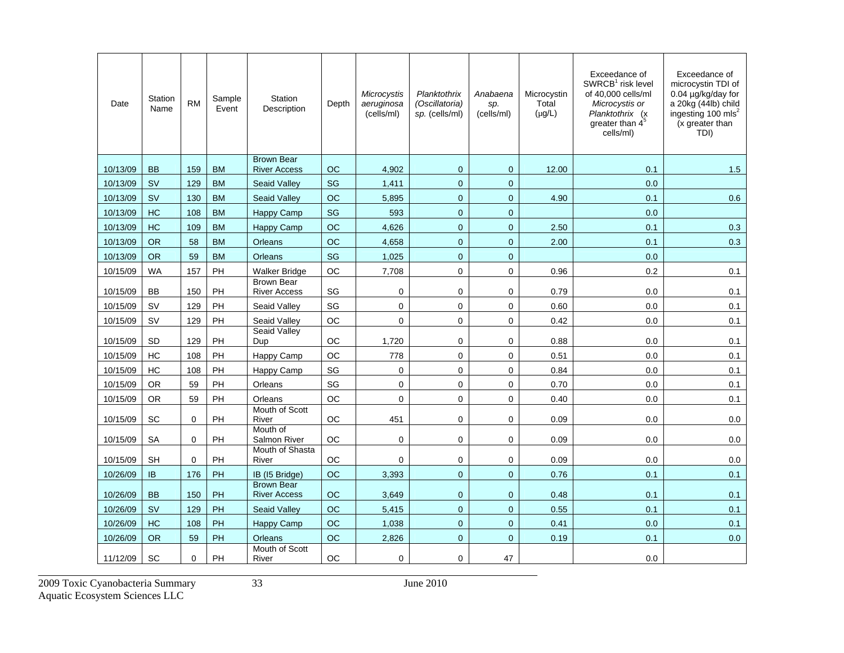| Date     | Station<br>Name | <b>RM</b>   | Sample<br>Event | Station<br>Description                   | Depth     | Microcystis<br>aeruginosa<br>(cells/ml) | Planktothrix<br>(Oscillatoria)<br>sp. (cells/ml) | Anabaena<br>sp.<br>(cells/ml) | Microcystin<br>Total<br>$(\mu g/L)$ | Exceedance of<br>$SWRCB1$ risk level<br>of 40,000 cells/ml<br>Microcystis or<br>Planktothrix (x<br>greater than $4^5$<br>cells/ml) | Exceedance of<br>microcystin TDI of<br>0.04 µg/kg/day for<br>a 20kg (44lb) child<br>ingesting 100 mls <sup>2</sup><br>(x greater than<br>TDI) |
|----------|-----------------|-------------|-----------------|------------------------------------------|-----------|-----------------------------------------|--------------------------------------------------|-------------------------------|-------------------------------------|------------------------------------------------------------------------------------------------------------------------------------|-----------------------------------------------------------------------------------------------------------------------------------------------|
| 10/13/09 | <b>BB</b>       | 159         | <b>BM</b>       | <b>Brown Bear</b><br><b>River Access</b> | OС        | 4,902                                   | $\mathbf 0$                                      | $\mathbf{0}$                  | 12.00                               | 0.1                                                                                                                                | 1.5                                                                                                                                           |
| 10/13/09 | <b>SV</b>       | 129         | <b>BM</b>       | <b>Seaid Valley</b>                      | <b>SG</b> | 1,411                                   | $\overline{0}$                                   | $\mathbf{0}$                  |                                     | 0.0                                                                                                                                |                                                                                                                                               |
| 10/13/09 | <b>SV</b>       | 130         | <b>BM</b>       | <b>Seaid Valley</b>                      | OC        | 5,895                                   | $\mathbf 0$                                      | $\pmb{0}$                     | 4.90                                | 0.1                                                                                                                                | 0.6                                                                                                                                           |
| 10/13/09 | HC              | 108         | <b>BM</b>       | <b>Happy Camp</b>                        | SG        | 593                                     | $\mathbf{0}$                                     | $\mathbf{0}$                  |                                     | 0.0                                                                                                                                |                                                                                                                                               |
| 10/13/09 | <b>HC</b>       | 109         | <b>BM</b>       | <b>Happy Camp</b>                        | <b>OC</b> | 4.626                                   | $\overline{0}$                                   | $\mathbf{0}$                  | 2.50                                | 0.1                                                                                                                                | 0.3                                                                                                                                           |
| 10/13/09 | <b>OR</b>       | 58          | <b>BM</b>       | Orleans                                  | <b>OC</b> | 4,658                                   | $\mathbf{0}$                                     | $\mathbf{0}$                  | 2.00                                | 0.1                                                                                                                                | 0.3                                                                                                                                           |
| 10/13/09 | <b>OR</b>       | 59          | <b>BM</b>       | Orleans                                  | SG        | 1,025                                   | $\mathbf{0}$                                     | $\mathbf{0}$                  |                                     | 0.0                                                                                                                                |                                                                                                                                               |
| 10/15/09 | <b>WA</b>       | 157         | PH              | <b>Walker Bridge</b>                     | OC        | 7,708                                   | $\mathbf 0$                                      | $\mathbf 0$                   | 0.96                                | 0.2                                                                                                                                | 0.1                                                                                                                                           |
| 10/15/09 | <b>BB</b>       | 150         | PH              | <b>Brown Bear</b><br><b>River Access</b> | SG        | $\mathbf 0$                             | $\mathbf 0$                                      | $\mathbf 0$                   | 0.79                                | 0.0                                                                                                                                | 0.1                                                                                                                                           |
| 10/15/09 | <b>SV</b>       | 129         | PH              | Seaid Valley                             | SG        | $\pmb{0}$                               | $\mathbf 0$                                      | $\mathsf 0$                   | 0.60                                | 0.0                                                                                                                                | 0.1                                                                                                                                           |
| 10/15/09 | <b>SV</b>       | 129         | PH              | Seaid Valley                             | <b>OC</b> | $\mathbf 0$                             | 0                                                | 0                             | 0.42                                | 0.0                                                                                                                                | 0.1                                                                                                                                           |
| 10/15/09 | <b>SD</b>       | 129         | PH              | Seaid Valley<br>Dup                      | OС        | 1,720                                   | 0                                                | $\mathbf 0$                   | 0.88                                | 0.0                                                                                                                                | 0.1                                                                                                                                           |
| 10/15/09 | HC              | 108         | PH              | Happy Camp                               | <b>OC</b> | 778                                     | $\mathbf 0$                                      | $\mathbf 0$                   | 0.51                                | 0.0                                                                                                                                | 0.1                                                                                                                                           |
| 10/15/09 | <b>HC</b>       | 108         | PH              | Happy Camp                               | SG        | $\mathbf 0$                             | $\mathbf 0$                                      | $\mathbf 0$                   | 0.84                                | 0.0                                                                                                                                | 0.1                                                                                                                                           |
| 10/15/09 | <b>OR</b>       | 59          | PH              | Orleans                                  | SG        | $\pmb{0}$                               | $\mathbf 0$                                      | $\mathbf 0$                   | 0.70                                | 0.0                                                                                                                                | 0.1                                                                                                                                           |
| 10/15/09 | <b>OR</b>       | 59          | PH              | Orleans                                  | ОC        | $\mathbf 0$                             | $\mathbf 0$                                      | $\mathbf 0$                   | 0.40                                | 0.0                                                                                                                                | 0.1                                                                                                                                           |
| 10/15/09 | <b>SC</b>       | $\Omega$    | PH              | Mouth of Scott<br>River                  | ОC        | 451                                     | $\mathbf 0$                                      | $\mathbf 0$                   | 0.09                                | 0.0                                                                                                                                | 0.0                                                                                                                                           |
| 10/15/09 | <b>SA</b>       | $\mathbf 0$ | PH              | Mouth of<br><b>Salmon River</b>          | OC        | 0                                       | $\mathbf 0$                                      | $\mathbf 0$                   | 0.09                                | 0.0                                                                                                                                | 0.0                                                                                                                                           |
| 10/15/09 | <b>SH</b>       | $\Omega$    | PH              | Mouth of Shasta<br>River                 | ОC        | $\Omega$                                | $\mathbf 0$                                      | $\mathbf 0$                   | 0.09                                | 0.0                                                                                                                                | 0.0                                                                                                                                           |
| 10/26/09 | IB              | 176         | PH              | IB (I5 Bridge)                           | OC        | 3,393                                   | $\pmb{0}$                                        | $\mathbf{0}$                  | 0.76                                | 0.1                                                                                                                                | 0.1                                                                                                                                           |
| 10/26/09 | <b>BB</b>       | 150         | PH              | <b>Brown Bear</b><br><b>River Access</b> | OC        | 3,649                                   | $\overline{0}$                                   | $\mathbf{0}$                  | 0.48                                | 0.1                                                                                                                                | 0.1                                                                                                                                           |
| 10/26/09 | <b>SV</b>       | 129         | PH              | <b>Seaid Valley</b>                      | <b>OC</b> | 5,415                                   | $\overline{0}$                                   | $\mathbf{0}$                  | 0.55                                | 0.1                                                                                                                                | 0.1                                                                                                                                           |
| 10/26/09 | <b>HC</b>       | 108         | PH              | <b>Happy Camp</b>                        | OC        | 1,038                                   | $\mathbf 0$                                      | $\mathbf 0$                   | 0.41                                | 0.0                                                                                                                                | 0.1                                                                                                                                           |
| 10/26/09 | <b>OR</b>       | 59          | PH              | <b>Orleans</b>                           | <b>OC</b> | 2,826                                   | $\overline{0}$                                   | $\mathbf{0}$                  | 0.19                                | 0.1                                                                                                                                | 0.0                                                                                                                                           |
| 11/12/09 | <b>SC</b>       | $\mathbf 0$ | PH              | Mouth of Scott<br>River                  | OС        | 0                                       | 0                                                | 47                            |                                     | 0.0                                                                                                                                |                                                                                                                                               |

2009 Toxic Cyanobacteria Summary 33 June 2010